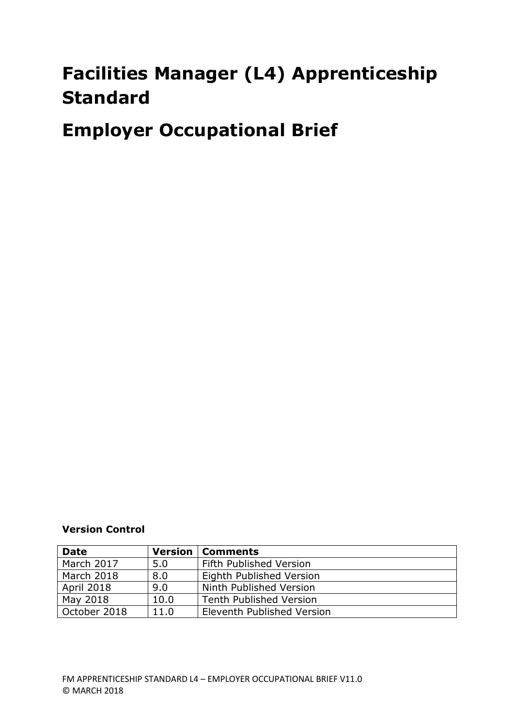# **Facilities Manager (L4) Apprenticeship Standard**

**Employer Occupational Brief**

**Version Control**

| <b>Date</b>  |      | <b>Version   Comments</b>      |
|--------------|------|--------------------------------|
| March 2017   | 5.0  | Fifth Published Version        |
| March 2018   | 8.0  | Eighth Published Version       |
| April 2018   | 9.0  | Ninth Published Version        |
| May 2018     | 10.0 | <b>Tenth Published Version</b> |
| October 2018 | 11.0 | Eleventh Published Version     |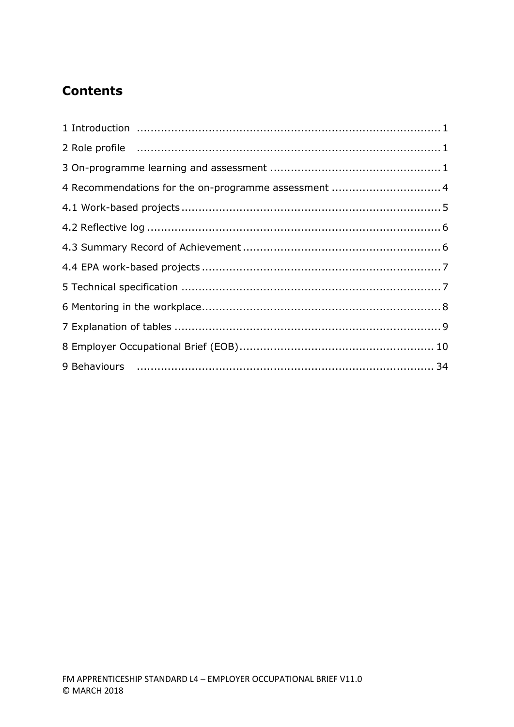## **Contents**

| 4 Recommendations for the on-programme assessment  4                                                                                                                                                                           |  |
|--------------------------------------------------------------------------------------------------------------------------------------------------------------------------------------------------------------------------------|--|
|                                                                                                                                                                                                                                |  |
|                                                                                                                                                                                                                                |  |
|                                                                                                                                                                                                                                |  |
|                                                                                                                                                                                                                                |  |
|                                                                                                                                                                                                                                |  |
|                                                                                                                                                                                                                                |  |
|                                                                                                                                                                                                                                |  |
|                                                                                                                                                                                                                                |  |
| 9 Behaviours (and the continuum control of the control of the control of the control of the control of the control of the control of the control of the control of the control of the control of the control of the control of |  |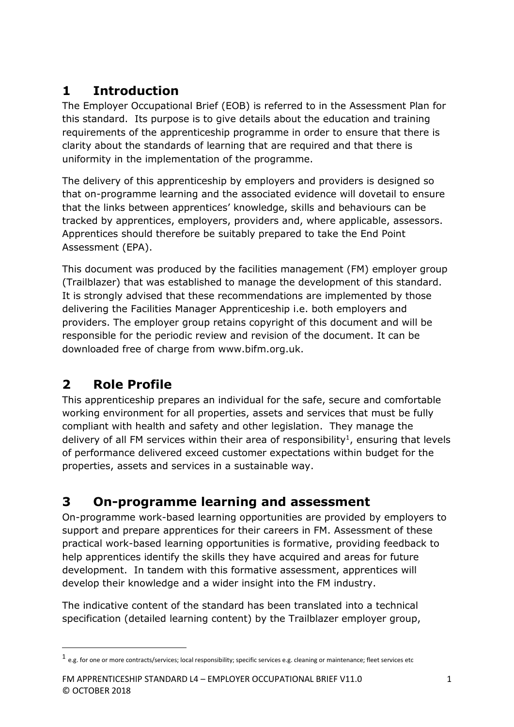## **1 Introduction**

The Employer Occupational Brief (EOB) is referred to in the Assessment Plan for this standard. Its purpose is to give details about the education and training requirements of the apprenticeship programme in order to ensure that there is clarity about the standards of learning that are required and that there is uniformity in the implementation of the programme.

The delivery of this apprenticeship by employers and providers is designed so that on-programme learning and the associated evidence will dovetail to ensure that the links between apprentices' knowledge, skills and behaviours can be tracked by apprentices, employers, providers and, where applicable, assessors. Apprentices should therefore be suitably prepared to take the End Point Assessment (EPA).

This document was produced by the facilities management (FM) employer group (Trailblazer) that was established to manage the development of this standard. It is strongly advised that these recommendations are implemented by those delivering the Facilities Manager Apprenticeship i.e. both employers and providers. The employer group retains copyright of this document and will be responsible for the periodic review and revision of the document. It can be downloaded free of charge from www.bifm.org.uk.

## **2 Role Profile**

**.** 

This apprenticeship prepares an individual for the safe, secure and comfortable working environment for all properties, assets and services that must be fully compliant with health and safety and other legislation. They manage the delivery of all FM services within their area of responsibility<sup>1</sup>, ensuring that levels of performance delivered exceed customer expectations within budget for the properties, assets and services in a sustainable way.

## **3 On-programme learning and assessment**

On-programme work-based learning opportunities are provided by employers to support and prepare apprentices for their careers in FM. Assessment of these practical work-based learning opportunities is formative, providing feedback to help apprentices identify the skills they have acquired and areas for future development. In tandem with this formative assessment, apprentices will develop their knowledge and a wider insight into the FM industry.

The indicative content of the standard has been translated into a technical specification (detailed learning content) by the Trailblazer employer group,

 $^1$  e.g. for one or more contracts/services; local responsibility; specific services e.g. cleaning or maintenance; fleet services etc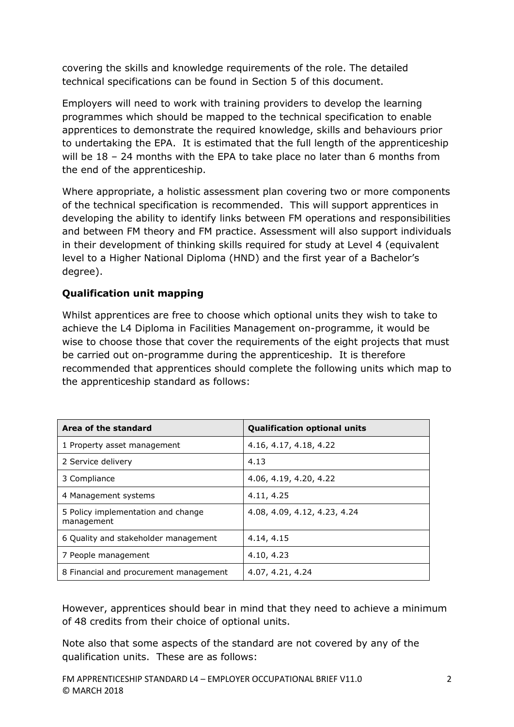covering the skills and knowledge requirements of the role. The detailed technical specifications can be found in Section 5 of this document.

Employers will need to work with training providers to develop the learning programmes which should be mapped to the technical specification to enable apprentices to demonstrate the required knowledge, skills and behaviours prior to undertaking the EPA. It is estimated that the full length of the apprenticeship will be  $18 - 24$  months with the EPA to take place no later than 6 months from the end of the apprenticeship.

Where appropriate, a holistic assessment plan covering two or more components of the technical specification is recommended. This will support apprentices in developing the ability to identify links between FM operations and responsibilities and between FM theory and FM practice. Assessment will also support individuals in their development of thinking skills required for study at Level 4 (equivalent level to a Higher National Diploma (HND) and the first year of a Bachelor's degree).

### **Qualification unit mapping**

Whilst apprentices are free to choose which optional units they wish to take to achieve the L4 Diploma in Facilities Management on-programme, it would be wise to choose those that cover the requirements of the eight projects that must be carried out on-programme during the apprenticeship. It is therefore recommended that apprentices should complete the following units which map to the apprenticeship standard as follows:

| Area of the standard                             | <b>Qualification optional units</b> |
|--------------------------------------------------|-------------------------------------|
| 1 Property asset management                      | 4.16, 4.17, 4.18, 4.22              |
| 2 Service delivery                               | 4.13                                |
| 3 Compliance                                     | 4.06, 4.19, 4.20, 4.22              |
| 4 Management systems                             | 4.11, 4.25                          |
| 5 Policy implementation and change<br>management | 4.08, 4.09, 4.12, 4.23, 4.24        |
| 6 Quality and stakeholder management             | 4.14, 4.15                          |
| 7 People management                              | 4.10, 4.23                          |
| 8 Financial and procurement management           | 4.07, 4.21, 4.24                    |

However, apprentices should bear in mind that they need to achieve a minimum of 48 credits from their choice of optional units.

Note also that some aspects of the standard are not covered by any of the qualification units. These are as follows: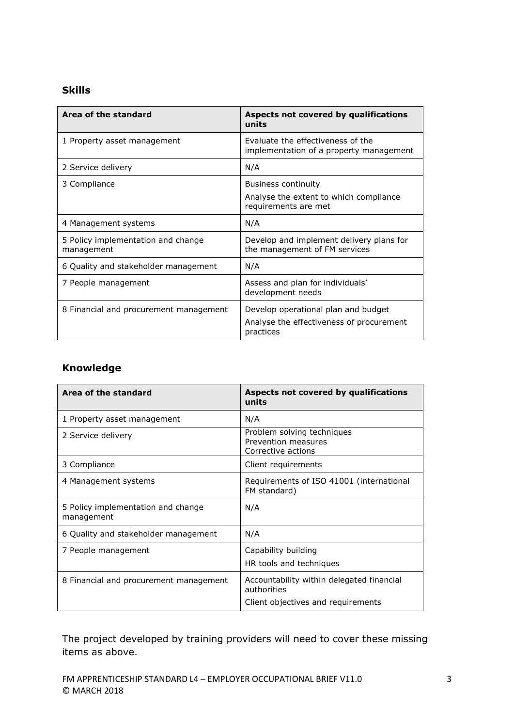#### **Skills**

| Area of the standard                             | Aspects not covered by qualifications<br>units                                               |
|--------------------------------------------------|----------------------------------------------------------------------------------------------|
| 1 Property asset management                      | Evaluate the effectiveness of the<br>implementation of a property management                 |
| 2 Service delivery                               | N/A                                                                                          |
| 3 Compliance                                     | <b>Business continuity</b><br>Analyse the extent to which compliance<br>requirements are met |
| 4 Management systems                             | N/A                                                                                          |
| 5 Policy implementation and change<br>management | Develop and implement delivery plans for<br>the management of FM services                    |
| 6 Quality and stakeholder management             | N/A                                                                                          |
| 7 People management                              | Assess and plan for individuals'<br>development needs                                        |
| 8 Financial and procurement management           | Develop operational plan and budget<br>Analyse the effectiveness of procurement<br>practices |

### **Knowledge**

| Area of the standard                             | Aspects not covered by qualifications<br>units                                                 |
|--------------------------------------------------|------------------------------------------------------------------------------------------------|
| 1 Property asset management                      | N/A                                                                                            |
| 2 Service delivery                               | Problem solving techniques<br>Prevention measures<br>Corrective actions                        |
| 3 Compliance                                     | Client requirements                                                                            |
| 4 Management systems                             | Requirements of ISO 41001 (international<br>FM standard)                                       |
| 5 Policy implementation and change<br>management | N/A                                                                                            |
| 6 Quality and stakeholder management             | N/A                                                                                            |
| 7 People management                              | Capability building<br>HR tools and techniques                                                 |
| 8 Financial and procurement management           | Accountability within delegated financial<br>authorities<br>Client objectives and requirements |

The project developed by training providers will need to cover these missing items as above.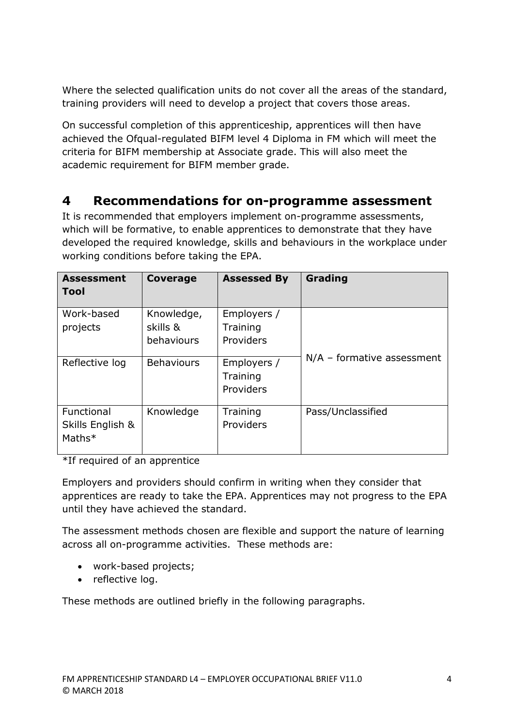Where the selected qualification units do not cover all the areas of the standard, training providers will need to develop a project that covers those areas.

On successful completion of this apprenticeship, apprentices will then have achieved the Ofqual-regulated BIFM level 4 Diploma in FM which will meet the criteria for BIFM membership at Associate grade. This will also meet the academic requirement for BIFM member grade.

### **4 Recommendations for on-programme assessment**

It is recommended that employers implement on-programme assessments, which will be formative, to enable apprentices to demonstrate that they have developed the required knowledge, skills and behaviours in the workplace under working conditions before taking the EPA.

| <b>Assessment</b><br>Tool                  | Coverage               | <b>Assessed By</b>                   | Grading                      |
|--------------------------------------------|------------------------|--------------------------------------|------------------------------|
| Work-based<br>projects                     | Knowledge,<br>skills & | Employers /<br>Training              |                              |
|                                            | behaviours             | Providers                            | $N/A$ – formative assessment |
| Reflective log                             | <b>Behaviours</b>      | Employers /<br>Training<br>Providers |                              |
| Functional<br>Skills English &<br>$Maths*$ | Knowledge              | Training<br><b>Providers</b>         | Pass/Unclassified            |

\*If required of an apprentice

Employers and providers should confirm in writing when they consider that apprentices are ready to take the EPA. Apprentices may not progress to the EPA until they have achieved the standard.

The assessment methods chosen are flexible and support the nature of learning across all on-programme activities. These methods are:

- work-based projects;
- reflective log.

These methods are outlined briefly in the following paragraphs.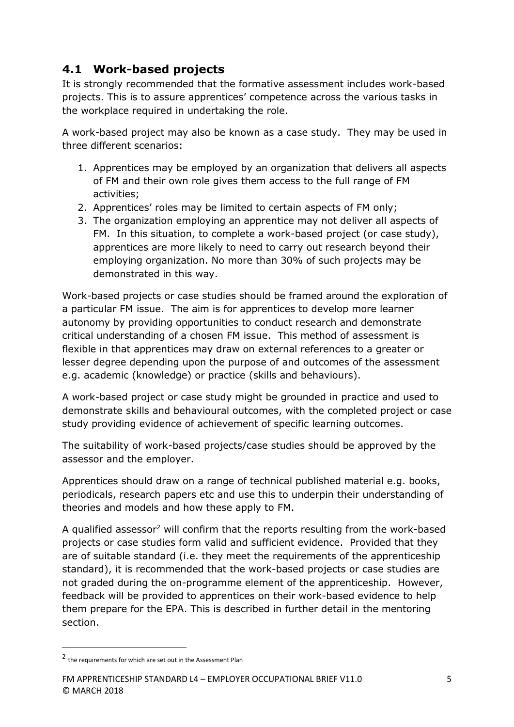### **4.1 Work-based projects**

It is strongly recommended that the formative assessment includes work-based projects. This is to assure apprentices' competence across the various tasks in the workplace required in undertaking the role.

A work-based project may also be known as a case study. They may be used in three different scenarios:

- 1. Apprentices may be employed by an organization that delivers all aspects of FM and their own role gives them access to the full range of FM activities;
- 2. Apprentices' roles may be limited to certain aspects of FM only;
- 3. The organization employing an apprentice may not deliver all aspects of FM. In this situation, to complete a work-based project (or case study), apprentices are more likely to need to carry out research beyond their employing organization. No more than 30% of such projects may be demonstrated in this way.

Work-based projects or case studies should be framed around the exploration of a particular FM issue. The aim is for apprentices to develop more learner autonomy by providing opportunities to conduct research and demonstrate critical understanding of a chosen FM issue. This method of assessment is flexible in that apprentices may draw on external references to a greater or lesser degree depending upon the purpose of and outcomes of the assessment e.g. academic (knowledge) or practice (skills and behaviours).

A work-based project or case study might be grounded in practice and used to demonstrate skills and behavioural outcomes, with the completed project or case study providing evidence of achievement of specific learning outcomes.

The suitability of work-based projects/case studies should be approved by the assessor and the employer.

Apprentices should draw on a range of technical published material e.g. books, periodicals, research papers etc and use this to underpin their understanding of theories and models and how these apply to FM.

A qualified assessor<sup>2</sup> will confirm that the reports resulting from the work-based projects or case studies form valid and sufficient evidence. Provided that they are of suitable standard (i.e. they meet the requirements of the apprenticeship standard), it is recommended that the work-based projects or case studies are not graded during the on-programme element of the apprenticeship. However, feedback will be provided to apprentices on their work-based evidence to help them prepare for the EPA. This is described in further detail in the mentoring section.

**.** 

<sup>2</sup> the requirements for which are set out in the Assessment Plan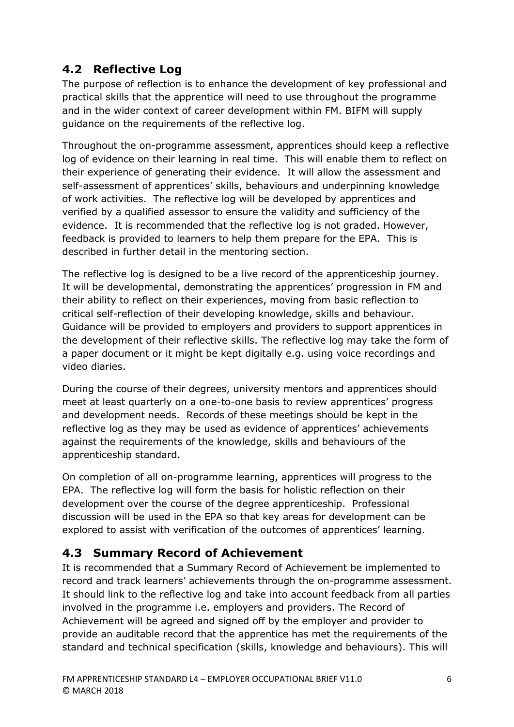## **4.2 Reflective Log**

The purpose of reflection is to enhance the development of key professional and practical skills that the apprentice will need to use throughout the programme and in the wider context of career development within FM. BIFM will supply guidance on the requirements of the reflective log.

Throughout the on-programme assessment, apprentices should keep a reflective log of evidence on their learning in real time. This will enable them to reflect on their experience of generating their evidence. It will allow the assessment and self-assessment of apprentices' skills, behaviours and underpinning knowledge of work activities. The reflective log will be developed by apprentices and verified by a qualified assessor to ensure the validity and sufficiency of the evidence. It is recommended that the reflective log is not graded. However, feedback is provided to learners to help them prepare for the EPA. This is described in further detail in the mentoring section.

The reflective log is designed to be a live record of the apprenticeship journey. It will be developmental, demonstrating the apprentices' progression in FM and their ability to reflect on their experiences, moving from basic reflection to critical self-reflection of their developing knowledge, skills and behaviour. Guidance will be provided to employers and providers to support apprentices in the development of their reflective skills. The reflective log may take the form of a paper document or it might be kept digitally e.g. using voice recordings and video diaries.

During the course of their degrees, university mentors and apprentices should meet at least quarterly on a one-to-one basis to review apprentices' progress and development needs. Records of these meetings should be kept in the reflective log as they may be used as evidence of apprentices' achievements against the requirements of the knowledge, skills and behaviours of the apprenticeship standard.

On completion of all on-programme learning, apprentices will progress to the EPA. The reflective log will form the basis for holistic reflection on their development over the course of the degree apprenticeship. Professional discussion will be used in the EPA so that key areas for development can be explored to assist with verification of the outcomes of apprentices' learning.

### **4.3 Summary Record of Achievement**

It is recommended that a Summary Record of Achievement be implemented to record and track learners' achievements through the on-programme assessment. It should link to the reflective log and take into account feedback from all parties involved in the programme i.e. employers and providers. The Record of Achievement will be agreed and signed off by the employer and provider to provide an auditable record that the apprentice has met the requirements of the standard and technical specification (skills, knowledge and behaviours). This will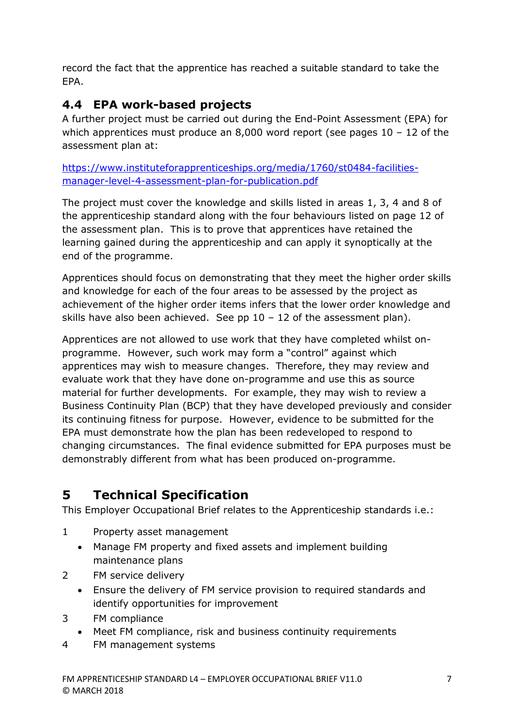record the fact that the apprentice has reached a suitable standard to take the EPA.

## **4.4 EPA work-based projects**

A further project must be carried out during the End-Point Assessment (EPA) for which apprentices must produce an 8,000 word report (see pages  $10 - 12$  of the assessment plan at:

[https://www.instituteforapprenticeships.org/media/1760/st0484-facilities](https://www.instituteforapprenticeships.org/media/1760/st0484-facilities-manager-level-4-assessment-plan-for-publication.pdf)[manager-level-4-assessment-plan-for-publication.pdf](https://www.instituteforapprenticeships.org/media/1760/st0484-facilities-manager-level-4-assessment-plan-for-publication.pdf)

The project must cover the knowledge and skills listed in areas 1, 3, 4 and 8 of the apprenticeship standard along with the four behaviours listed on page 12 of the assessment plan. This is to prove that apprentices have retained the learning gained during the apprenticeship and can apply it synoptically at the end of the programme.

Apprentices should focus on demonstrating that they meet the higher order skills and knowledge for each of the four areas to be assessed by the project as achievement of the higher order items infers that the lower order knowledge and skills have also been achieved. See pp  $10 - 12$  of the assessment plan).

Apprentices are not allowed to use work that they have completed whilst onprogramme. However, such work may form a "control" against which apprentices may wish to measure changes. Therefore, they may review and evaluate work that they have done on-programme and use this as source material for further developments. For example, they may wish to review a Business Continuity Plan (BCP) that they have developed previously and consider its continuing fitness for purpose. However, evidence to be submitted for the EPA must demonstrate how the plan has been redeveloped to respond to changing circumstances. The final evidence submitted for EPA purposes must be demonstrably different from what has been produced on-programme.

## **5 Technical Specification**

This Employer Occupational Brief relates to the Apprenticeship standards i.e.:

- 1 Property asset management
	- Manage FM property and fixed assets and implement building maintenance plans
- 2 FM service delivery
	- Ensure the delivery of FM service provision to required standards and identify opportunities for improvement
- 3 FM compliance
	- Meet FM compliance, risk and business continuity requirements
- 4 FM management systems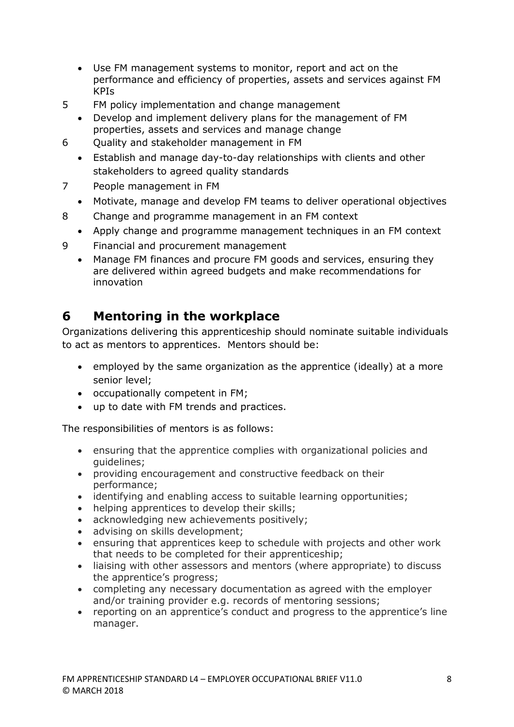- Use FM management systems to monitor, report and act on the performance and efficiency of properties, assets and services against FM KPIs
- 5 FM policy implementation and change management
	- Develop and implement delivery plans for the management of FM properties, assets and services and manage change
- 6 Quality and stakeholder management in FM
	- Establish and manage day-to-day relationships with clients and other stakeholders to agreed quality standards
- 7 People management in FM
	- Motivate, manage and develop FM teams to deliver operational objectives
- 8 Change and programme management in an FM context
	- Apply change and programme management techniques in an FM context
- 9 Financial and procurement management
	- Manage FM finances and procure FM goods and services, ensuring they are delivered within agreed budgets and make recommendations for innovation

## **6 Mentoring in the workplace**

Organizations delivering this apprenticeship should nominate suitable individuals to act as mentors to apprentices. Mentors should be:

- employed by the same organization as the apprentice (ideally) at a more senior level;
- occupationally competent in FM;
- up to date with FM trends and practices.

The responsibilities of mentors is as follows:

- ensuring that the apprentice complies with organizational policies and guidelines;
- providing encouragement and constructive feedback on their performance;
- identifying and enabling access to suitable learning opportunities;
- helping apprentices to develop their skills;
- acknowledging new achievements positively;
- advising on skills development;
- ensuring that apprentices keep to schedule with projects and other work that needs to be completed for their apprenticeship;
- liaising with other assessors and mentors (where appropriate) to discuss the apprentice's progress;
- completing any necessary documentation as agreed with the employer and/or training provider e.g. records of mentoring sessions;
- reporting on an apprentice's conduct and progress to the apprentice's line manager.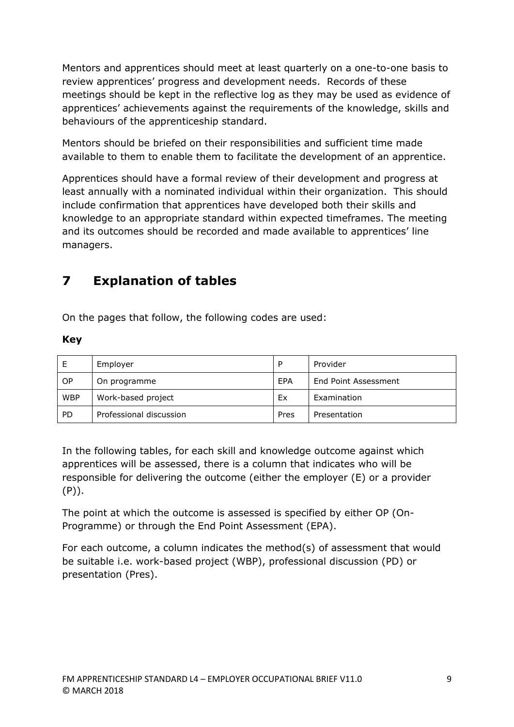Mentors and apprentices should meet at least quarterly on a one-to-one basis to review apprentices' progress and development needs. Records of these meetings should be kept in the reflective log as they may be used as evidence of apprentices' achievements against the requirements of the knowledge, skills and behaviours of the apprenticeship standard.

Mentors should be briefed on their responsibilities and sufficient time made available to them to enable them to facilitate the development of an apprentice.

Apprentices should have a formal review of their development and progress at least annually with a nominated individual within their organization. This should include confirmation that apprentices have developed both their skills and knowledge to an appropriate standard within expected timeframes. The meeting and its outcomes should be recorded and made available to apprentices' line managers.

## **7 Explanation of tables**

On the pages that follow, the following codes are used:

#### **Key**

| Е          | Employer                | P    | Provider             |
|------------|-------------------------|------|----------------------|
| <b>OP</b>  | On programme            | EPA  | End Point Assessment |
| <b>WBP</b> | Work-based project      | Ex   | Examination          |
| <b>PD</b>  | Professional discussion | Pres | Presentation         |

In the following tables, for each skill and knowledge outcome against which apprentices will be assessed, there is a column that indicates who will be responsible for delivering the outcome (either the employer (E) or a provider (P)).

The point at which the outcome is assessed is specified by either OP (On-Programme) or through the End Point Assessment (EPA).

For each outcome, a column indicates the method(s) of assessment that would be suitable i.e. work-based project (WBP), professional discussion (PD) or presentation (Pres).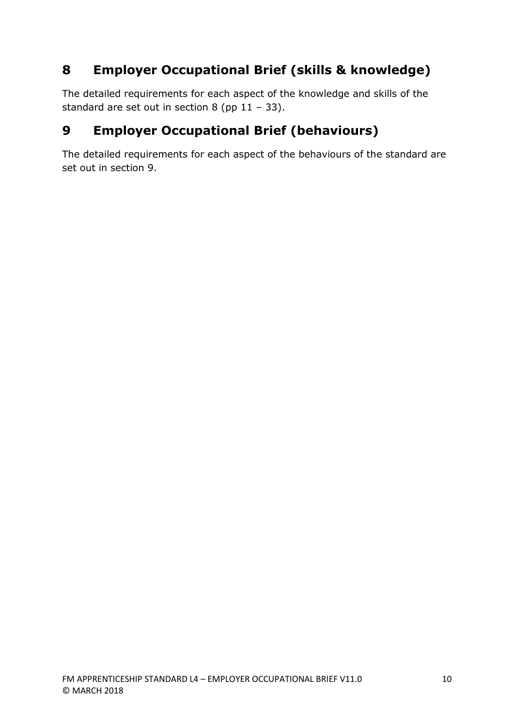## **8 Employer Occupational Brief (skills & knowledge)**

The detailed requirements for each aspect of the knowledge and skills of the standard are set out in section 8 (pp  $11 - 33$ ).

## **9 Employer Occupational Brief (behaviours)**

The detailed requirements for each aspect of the behaviours of the standard are set out in section 9.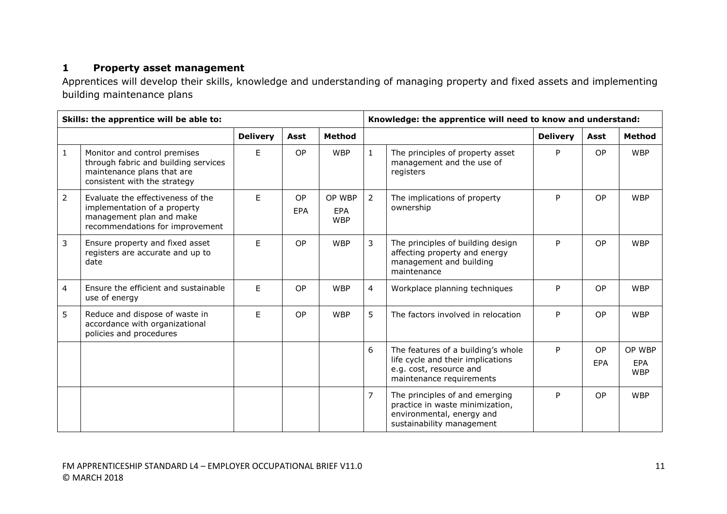### **1 Property asset management**

Apprentices will develop their skills, knowledge and understanding of managing property and fixed assets and implementing building maintenance plans

| Skills: the apprentice will be able to: |                                                                                                                                    |                 |                  |                                    | Knowledge: the apprentice will need to know and understand: |                                                                                                                                |                 |                         |                                    |
|-----------------------------------------|------------------------------------------------------------------------------------------------------------------------------------|-----------------|------------------|------------------------------------|-------------------------------------------------------------|--------------------------------------------------------------------------------------------------------------------------------|-----------------|-------------------------|------------------------------------|
|                                         |                                                                                                                                    | <b>Delivery</b> | Asst             | <b>Method</b>                      |                                                             |                                                                                                                                | <b>Delivery</b> | Asst                    | Method                             |
| $\mathbf{1}$                            | Monitor and control premises<br>through fabric and building services<br>maintenance plans that are<br>consistent with the strategy | E               | <b>OP</b>        | <b>WBP</b>                         | $\mathbf{1}$                                                | The principles of property asset<br>management and the use of<br>registers                                                     | P               | OP                      | <b>WBP</b>                         |
| $\overline{2}$                          | Evaluate the effectiveness of the<br>implementation of a property<br>management plan and make<br>recommendations for improvement   | F.              | OP<br><b>EPA</b> | OP WBP<br><b>EPA</b><br><b>WBP</b> | $\overline{2}$                                              | The implications of property<br>ownership                                                                                      | P               | OP                      | <b>WBP</b>                         |
| 3                                       | Ensure property and fixed asset<br>registers are accurate and up to<br>date                                                        | E               | <b>OP</b>        | <b>WBP</b>                         | $\overline{3}$                                              | The principles of building design<br>affecting property and energy<br>management and building<br>maintenance                   | P               | <b>OP</b>               | <b>WBP</b>                         |
| 4                                       | Ensure the efficient and sustainable<br>use of energy                                                                              | E               | OP               | <b>WBP</b>                         | $\overline{4}$                                              | Workplace planning techniques                                                                                                  | P               | OP                      | <b>WBP</b>                         |
| 5                                       | Reduce and dispose of waste in<br>accordance with organizational<br>policies and procedures                                        | F.              | <b>OP</b>        | <b>WBP</b>                         | 5                                                           | The factors involved in relocation                                                                                             | P               | <b>OP</b>               | <b>WBP</b>                         |
|                                         |                                                                                                                                    |                 |                  |                                    | 6                                                           | The features of a building's whole<br>life cycle and their implications<br>e.g. cost, resource and<br>maintenance requirements | P               | <b>OP</b><br><b>EPA</b> | OP WBP<br><b>EPA</b><br><b>WBP</b> |
|                                         |                                                                                                                                    |                 |                  |                                    | $\overline{7}$                                              | The principles of and emerging<br>practice in waste minimization,<br>environmental, energy and<br>sustainability management    | P               | OP                      | <b>WBP</b>                         |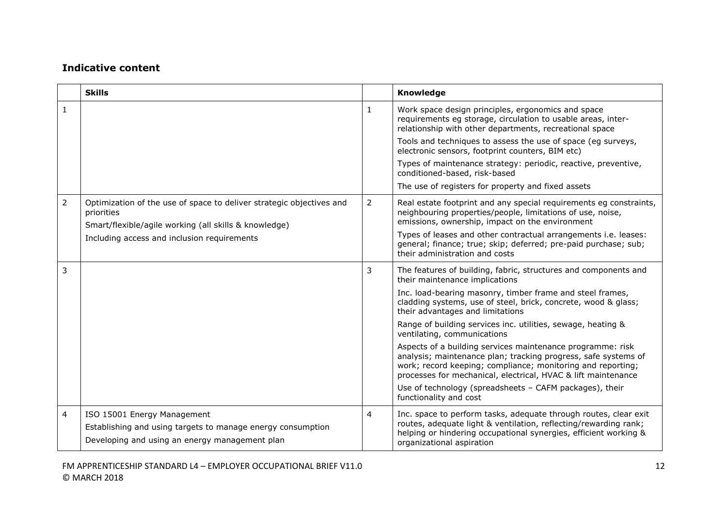|                | <b>Skills</b>                                                                                                                                |                | Knowledge                                                                                                                                                                                                                                                    |
|----------------|----------------------------------------------------------------------------------------------------------------------------------------------|----------------|--------------------------------------------------------------------------------------------------------------------------------------------------------------------------------------------------------------------------------------------------------------|
| 1              |                                                                                                                                              | 1              | Work space design principles, ergonomics and space<br>requirements eg storage, circulation to usable areas, inter-<br>relationship with other departments, recreational space                                                                                |
|                |                                                                                                                                              |                | Tools and techniques to assess the use of space (eg surveys,<br>electronic sensors, footprint counters, BIM etc)                                                                                                                                             |
|                |                                                                                                                                              |                | Types of maintenance strategy: periodic, reactive, preventive,<br>conditioned-based, risk-based                                                                                                                                                              |
|                |                                                                                                                                              |                | The use of registers for property and fixed assets                                                                                                                                                                                                           |
| 2              | Optimization of the use of space to deliver strategic objectives and<br>priorities<br>Smart/flexible/agile working (all skills & knowledge)  | 2              | Real estate footprint and any special requirements eg constraints,<br>neighbouring properties/people, limitations of use, noise,<br>emissions, ownership, impact on the environment                                                                          |
|                | Including access and inclusion requirements                                                                                                  |                | Types of leases and other contractual arrangements i.e. leases:<br>general; finance; true; skip; deferred; pre-paid purchase; sub;<br>their administration and costs                                                                                         |
| 3              |                                                                                                                                              | 3              | The features of building, fabric, structures and components and<br>their maintenance implications                                                                                                                                                            |
|                |                                                                                                                                              |                | Inc. load-bearing masonry, timber frame and steel frames,<br>cladding systems, use of steel, brick, concrete, wood & glass;<br>their advantages and limitations                                                                                              |
|                |                                                                                                                                              |                | Range of building services inc. utilities, sewage, heating &<br>ventilating, communications                                                                                                                                                                  |
|                |                                                                                                                                              |                | Aspects of a building services maintenance programme: risk<br>analysis; maintenance plan; tracking progress, safe systems of<br>work; record keeping; compliance; monitoring and reporting;<br>processes for mechanical, electrical, HVAC & lift maintenance |
|                |                                                                                                                                              |                | Use of technology (spreadsheets - CAFM packages), their<br>functionality and cost                                                                                                                                                                            |
| $\overline{4}$ | ISO 15001 Energy Management<br>Establishing and using targets to manage energy consumption<br>Developing and using an energy management plan | $\overline{4}$ | Inc. space to perform tasks, adequate through routes, clear exit<br>routes, adequate light & ventilation, reflecting/rewarding rank;<br>helping or hindering occupational synergies, efficient working &<br>organizational aspiration                        |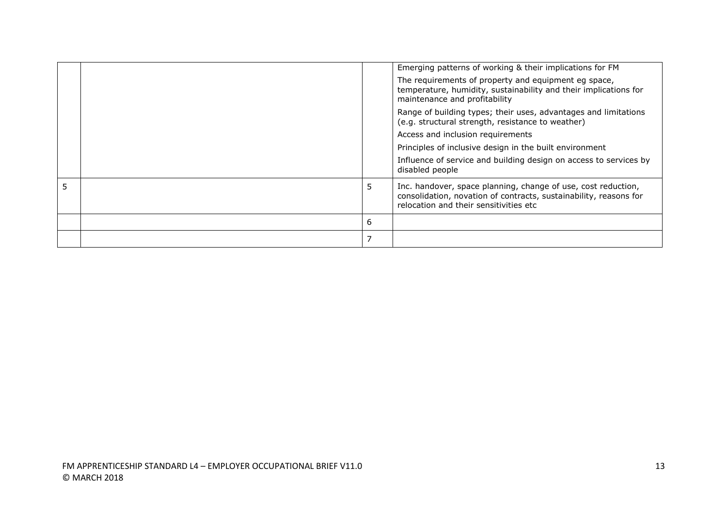|   | Emerging patterns of working & their implications for FM                                                                                                                     |
|---|------------------------------------------------------------------------------------------------------------------------------------------------------------------------------|
|   | The requirements of property and equipment eg space,<br>temperature, humidity, sustainability and their implications for<br>maintenance and profitability                    |
|   | Range of building types; their uses, advantages and limitations<br>(e.g. structural strength, resistance to weather)                                                         |
|   | Access and inclusion requirements                                                                                                                                            |
|   | Principles of inclusive design in the built environment                                                                                                                      |
|   | Influence of service and building design on access to services by<br>disabled people                                                                                         |
| 5 | Inc. handover, space planning, change of use, cost reduction,<br>consolidation, novation of contracts, sustainability, reasons for<br>relocation and their sensitivities etc |
| 6 |                                                                                                                                                                              |
|   |                                                                                                                                                                              |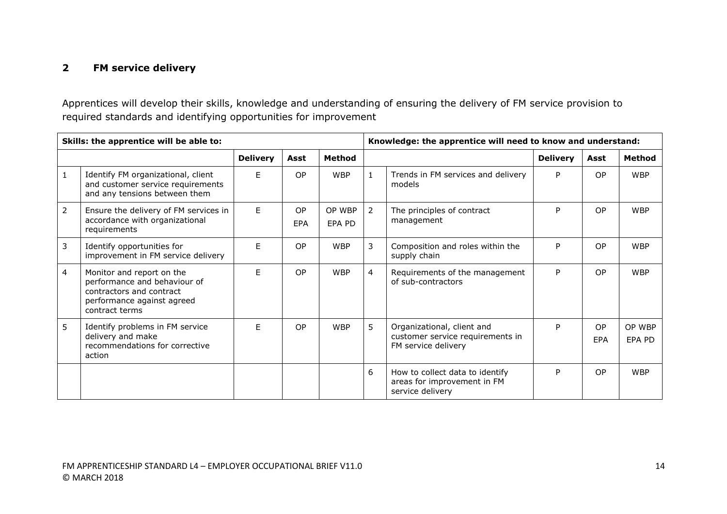### **2 FM service delivery**

Apprentices will develop their skills, knowledge and understanding of ensuring the delivery of FM service provision to required standards and identifying opportunities for improvement

| Skills: the apprentice will be able to: |                                                                                                                                       |                 |           |                  | Knowledge: the apprentice will need to know and understand: |                                                                                       |                 |                  |                  |
|-----------------------------------------|---------------------------------------------------------------------------------------------------------------------------------------|-----------------|-----------|------------------|-------------------------------------------------------------|---------------------------------------------------------------------------------------|-----------------|------------------|------------------|
|                                         |                                                                                                                                       | <b>Delivery</b> | Asst      | <b>Method</b>    |                                                             |                                                                                       | <b>Delivery</b> | Asst             | Method           |
| 1                                       | Identify FM organizational, client<br>and customer service requirements<br>and any tensions between them                              | F.              | <b>OP</b> | <b>WBP</b>       | $\mathbf{1}$                                                | Trends in FM services and delivery<br>models                                          | P               | OP.              | <b>WBP</b>       |
| $\overline{2}$                          | Ensure the delivery of FM services in<br>accordance with organizational<br>requirements                                               | E.              | OP<br>EPA | OP WBP<br>EPA PD | 2                                                           | The principles of contract<br>management                                              | P               | OP               | <b>WBP</b>       |
| 3                                       | Identify opportunities for<br>improvement in FM service delivery                                                                      | E               | OP        | <b>WBP</b>       | 3                                                           | Composition and roles within the<br>supply chain                                      | P               | <b>OP</b>        | <b>WBP</b>       |
| 4                                       | Monitor and report on the<br>performance and behaviour of<br>contractors and contract<br>performance against agreed<br>contract terms | F.              | <b>OP</b> | <b>WBP</b>       | $\overline{4}$                                              | Requirements of the management<br>of sub-contractors                                  | P               | <b>OP</b>        | <b>WBP</b>       |
| 5                                       | Identify problems in FM service<br>delivery and make<br>recommendations for corrective<br>action                                      | F               | <b>OP</b> | <b>WBP</b>       | 5                                                           | Organizational, client and<br>customer service requirements in<br>FM service delivery | P               | <b>OP</b><br>EPA | OP WBP<br>EPA PD |
|                                         |                                                                                                                                       |                 |           |                  | 6                                                           | How to collect data to identify<br>areas for improvement in FM<br>service delivery    | P               | <b>OP</b>        | <b>WBP</b>       |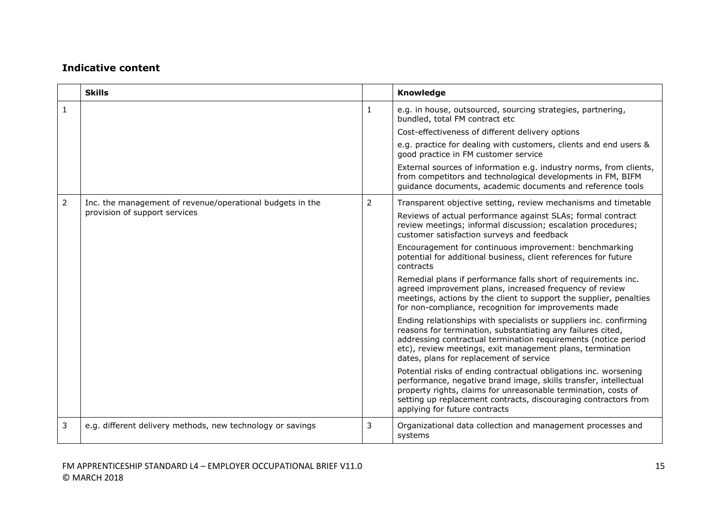|                | <b>Skills</b>                                              |                | Knowledge                                                                                                                                                                                                                                                                                                   |
|----------------|------------------------------------------------------------|----------------|-------------------------------------------------------------------------------------------------------------------------------------------------------------------------------------------------------------------------------------------------------------------------------------------------------------|
| $\mathbf{1}$   |                                                            | 1              | e.g. in house, outsourced, sourcing strategies, partnering,<br>bundled, total FM contract etc                                                                                                                                                                                                               |
|                |                                                            |                | Cost-effectiveness of different delivery options                                                                                                                                                                                                                                                            |
|                |                                                            |                | e.g. practice for dealing with customers, clients and end users &<br>good practice in FM customer service                                                                                                                                                                                                   |
|                |                                                            |                | External sources of information e.g. industry norms, from clients,<br>from competitors and technological developments in FM, BIFM<br>quidance documents, academic documents and reference tools                                                                                                             |
| $\overline{2}$ | Inc. the management of revenue/operational budgets in the  | $\overline{2}$ | Transparent objective setting, review mechanisms and timetable                                                                                                                                                                                                                                              |
|                | provision of support services                              |                | Reviews of actual performance against SLAs; formal contract<br>review meetings; informal discussion; escalation procedures;<br>customer satisfaction surveys and feedback                                                                                                                                   |
|                |                                                            |                | Encouragement for continuous improvement: benchmarking<br>potential for additional business, client references for future<br>contracts                                                                                                                                                                      |
|                |                                                            |                | Remedial plans if performance falls short of requirements inc.<br>agreed improvement plans, increased frequency of review<br>meetings, actions by the client to support the supplier, penalties<br>for non-compliance, recognition for improvements made                                                    |
|                |                                                            |                | Ending relationships with specialists or suppliers inc. confirming<br>reasons for termination, substantiating any failures cited,<br>addressing contractual termination requirements (notice period<br>etc), review meetings, exit management plans, termination<br>dates, plans for replacement of service |
|                |                                                            |                | Potential risks of ending contractual obligations inc. worsening<br>performance, negative brand image, skills transfer, intellectual<br>property rights, claims for unreasonable termination, costs of<br>setting up replacement contracts, discouraging contractors from<br>applying for future contracts  |
| 3              | e.g. different delivery methods, new technology or savings | 3              | Organizational data collection and management processes and<br>systems                                                                                                                                                                                                                                      |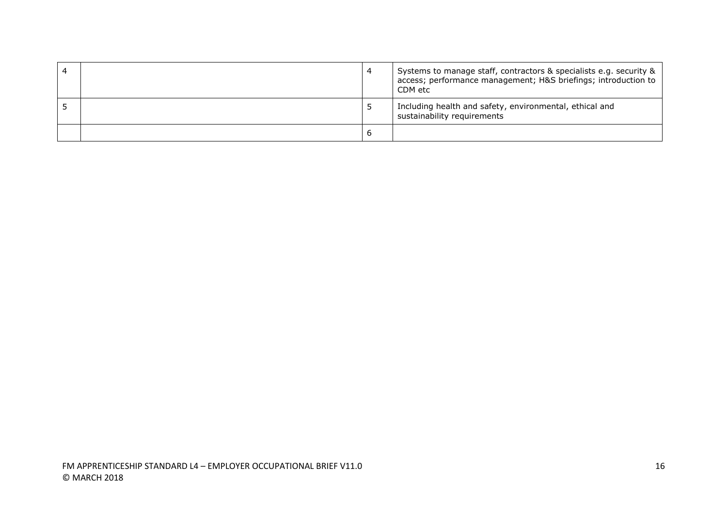|  | 4 | Systems to manage staff, contractors & specialists e.g. security &<br>access; performance management; H&S briefings; introduction to<br>CDM etc |
|--|---|-------------------------------------------------------------------------------------------------------------------------------------------------|
|  |   | Including health and safety, environmental, ethical and<br>sustainability requirements                                                          |
|  | b |                                                                                                                                                 |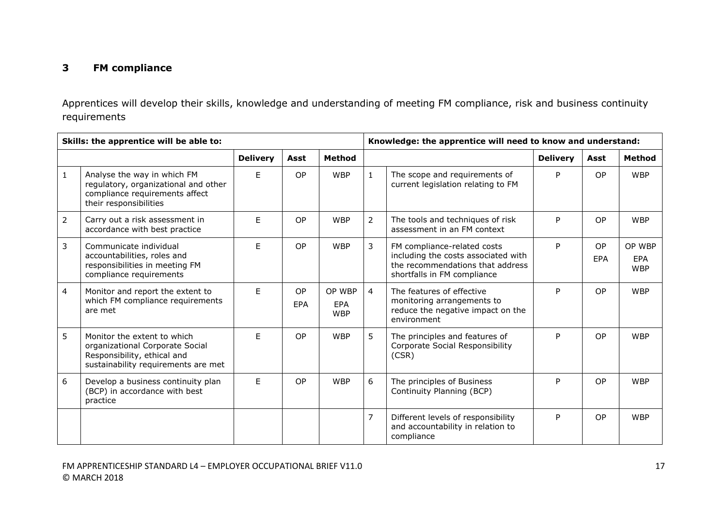### **3 FM compliance**

Apprentices will develop their skills, knowledge and understanding of meeting FM compliance, risk and business continuity requirements

| Skills: the apprentice will be able to: |                                                                                                                                      |                 |           |                                    | Knowledge: the apprentice will need to know and understand: |                                                                                                                                       |                 |                         |                                    |
|-----------------------------------------|--------------------------------------------------------------------------------------------------------------------------------------|-----------------|-----------|------------------------------------|-------------------------------------------------------------|---------------------------------------------------------------------------------------------------------------------------------------|-----------------|-------------------------|------------------------------------|
|                                         |                                                                                                                                      | <b>Delivery</b> | Asst      | <b>Method</b>                      |                                                             |                                                                                                                                       | <b>Delivery</b> | Asst                    | <b>Method</b>                      |
| $\mathbf{1}$                            | Analyse the way in which FM<br>regulatory, organizational and other<br>compliance requirements affect<br>their responsibilities      | E.              | <b>OP</b> | <b>WBP</b>                         | $\mathbf{1}$                                                | The scope and requirements of<br>current legislation relating to FM                                                                   | P               | <b>OP</b>               | <b>WBP</b>                         |
| $\overline{2}$                          | Carry out a risk assessment in<br>accordance with best practice                                                                      | E               | <b>OP</b> | <b>WBP</b>                         | $\overline{2}$                                              | The tools and techniques of risk<br>assessment in an FM context                                                                       | P               | <b>OP</b>               | <b>WBP</b>                         |
| $\overline{3}$                          | Communicate individual<br>accountabilities, roles and<br>responsibilities in meeting FM<br>compliance requirements                   | F.              | <b>OP</b> | <b>WBP</b>                         | $\mathbf{3}$                                                | FM compliance-related costs<br>including the costs associated with<br>the recommendations that address<br>shortfalls in FM compliance | P               | <b>OP</b><br><b>EPA</b> | OP WBP<br><b>EPA</b><br><b>WBP</b> |
| $\overline{4}$                          | Monitor and report the extent to<br>which FM compliance requirements<br>are met                                                      | F.              | OP<br>EPA | OP WBP<br><b>EPA</b><br><b>WBP</b> | $\overline{4}$                                              | The features of effective<br>monitoring arrangements to<br>reduce the negative impact on the<br>environment                           | P               | <b>OP</b>               | <b>WBP</b>                         |
| 5                                       | Monitor the extent to which<br>organizational Corporate Social<br>Responsibility, ethical and<br>sustainability requirements are met | E               | <b>OP</b> | <b>WBP</b>                         | 5                                                           | The principles and features of<br>Corporate Social Responsibility<br>(CSR)                                                            | P               | <b>OP</b>               | <b>WBP</b>                         |
| 6                                       | Develop a business continuity plan<br>(BCP) in accordance with best<br>practice                                                      | E               | <b>OP</b> | <b>WBP</b>                         | 6                                                           | The principles of Business<br>Continuity Planning (BCP)                                                                               | P               | <b>OP</b>               | <b>WBP</b>                         |
|                                         |                                                                                                                                      |                 |           |                                    | $\overline{7}$                                              | Different levels of responsibility<br>and accountability in relation to<br>compliance                                                 | P               | <b>OP</b>               | <b>WBP</b>                         |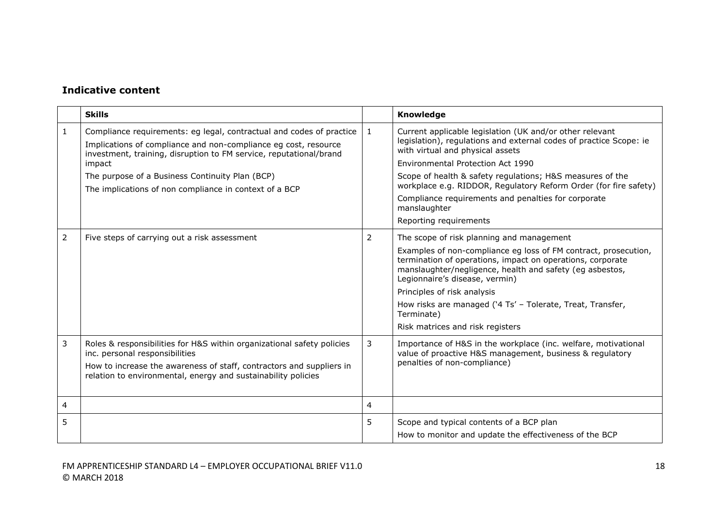|   | <b>Skills</b>                                                                                                                                                                                                                                     |         | Knowledge                                                                                                                                                                                                                   |
|---|---------------------------------------------------------------------------------------------------------------------------------------------------------------------------------------------------------------------------------------------------|---------|-----------------------------------------------------------------------------------------------------------------------------------------------------------------------------------------------------------------------------|
| 1 | Compliance requirements: eg legal, contractual and codes of practice<br>Implications of compliance and non-compliance eg cost, resource<br>investment, training, disruption to FM service, reputational/brand                                     | $\perp$ | Current applicable legislation (UK and/or other relevant<br>legislation), regulations and external codes of practice Scope: ie<br>with virtual and physical assets                                                          |
|   | impact                                                                                                                                                                                                                                            |         | Environmental Protection Act 1990                                                                                                                                                                                           |
|   | The purpose of a Business Continuity Plan (BCP)<br>The implications of non compliance in context of a BCP                                                                                                                                         |         | Scope of health & safety regulations; H&S measures of the<br>workplace e.g. RIDDOR, Regulatory Reform Order (for fire safety)                                                                                               |
|   |                                                                                                                                                                                                                                                   |         | Compliance requirements and penalties for corporate<br>manslaughter                                                                                                                                                         |
|   |                                                                                                                                                                                                                                                   |         | Reporting requirements                                                                                                                                                                                                      |
| 2 | Five steps of carrying out a risk assessment                                                                                                                                                                                                      | 2       | The scope of risk planning and management                                                                                                                                                                                   |
|   |                                                                                                                                                                                                                                                   |         | Examples of non-compliance eg loss of FM contract, prosecution,<br>termination of operations, impact on operations, corporate<br>manslaughter/negligence, health and safety (eg asbestos,<br>Legionnaire's disease, vermin) |
|   |                                                                                                                                                                                                                                                   |         | Principles of risk analysis                                                                                                                                                                                                 |
|   |                                                                                                                                                                                                                                                   |         | How risks are managed ('4 Ts' - Tolerate, Treat, Transfer,<br>Terminate)                                                                                                                                                    |
|   |                                                                                                                                                                                                                                                   |         | Risk matrices and risk registers                                                                                                                                                                                            |
| 3 | Roles & responsibilities for H&S within organizational safety policies<br>inc. personal responsibilities<br>How to increase the awareness of staff, contractors and suppliers in<br>relation to environmental, energy and sustainability policies | 3       | Importance of H&S in the workplace (inc. welfare, motivational<br>value of proactive H&S management, business & regulatory<br>penalties of non-compliance)                                                                  |
| 4 |                                                                                                                                                                                                                                                   | 4       |                                                                                                                                                                                                                             |
| 5 |                                                                                                                                                                                                                                                   | 5.      | Scope and typical contents of a BCP plan<br>How to monitor and update the effectiveness of the BCP                                                                                                                          |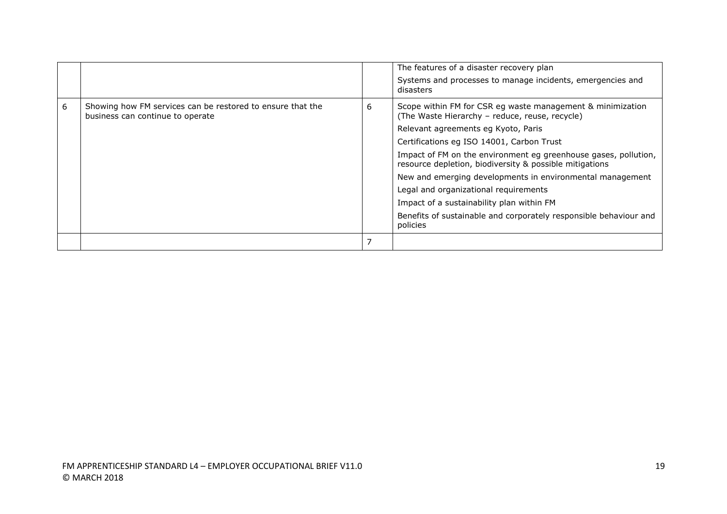|   |                                                                                                |   | The features of a disaster recovery plan<br>Systems and processes to manage incidents, emergencies and                     |
|---|------------------------------------------------------------------------------------------------|---|----------------------------------------------------------------------------------------------------------------------------|
|   |                                                                                                |   | disasters                                                                                                                  |
| 6 | Showing how FM services can be restored to ensure that the<br>business can continue to operate | 6 | Scope within FM for CSR eg waste management & minimization<br>(The Waste Hierarchy - reduce, reuse, recycle)               |
|   |                                                                                                |   | Relevant agreements eg Kyoto, Paris                                                                                        |
|   |                                                                                                |   | Certifications eg ISO 14001, Carbon Trust                                                                                  |
|   |                                                                                                |   | Impact of FM on the environment eg greenhouse gases, pollution,<br>resource depletion, biodiversity & possible mitigations |
|   |                                                                                                |   | New and emerging developments in environmental management                                                                  |
|   |                                                                                                |   | Legal and organizational requirements                                                                                      |
|   |                                                                                                |   | Impact of a sustainability plan within FM                                                                                  |
|   |                                                                                                |   | Benefits of sustainable and corporately responsible behaviour and<br>policies                                              |
|   |                                                                                                |   |                                                                                                                            |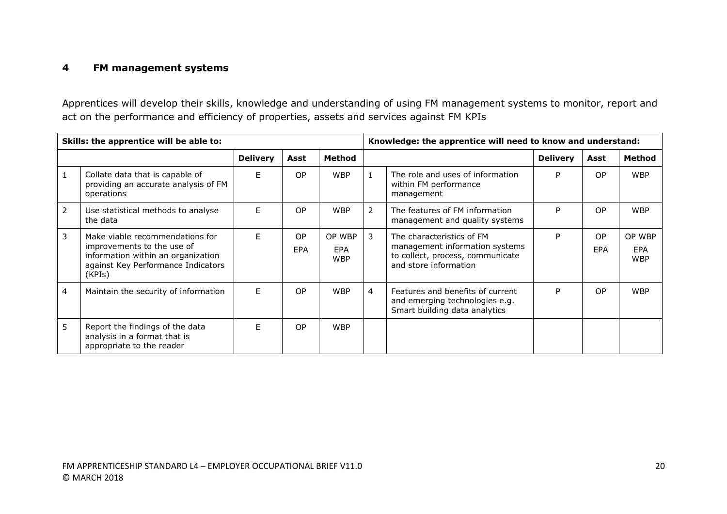### **4 FM management systems**

Apprentices will develop their skills, knowledge and understanding of using FM management systems to monitor, report and act on the performance and efficiency of properties, assets and services against FM KPIs

|                | Skills: the apprentice will be able to:                                                                                                             | Knowledge: the apprentice will need to know and understand: |                  |                             |                |                                                                                                                          |                 |                  |                             |
|----------------|-----------------------------------------------------------------------------------------------------------------------------------------------------|-------------------------------------------------------------|------------------|-----------------------------|----------------|--------------------------------------------------------------------------------------------------------------------------|-----------------|------------------|-----------------------------|
|                |                                                                                                                                                     | <b>Delivery</b>                                             | Asst             | Method                      |                |                                                                                                                          | <b>Delivery</b> | Asst             | Method                      |
| 1              | Collate data that is capable of<br>providing an accurate analysis of FM<br>operations                                                               | F                                                           | OP.              | <b>WBP</b>                  |                | The role and uses of information<br>within FM performance<br>management                                                  | P               | OP               | <b>WBP</b>                  |
| $\overline{2}$ | Use statistical methods to analyse<br>the data                                                                                                      | F                                                           | <b>OP</b>        | <b>WBP</b>                  | $\overline{2}$ | The features of FM information<br>management and quality systems                                                         | P               | OP               | <b>WBP</b>                  |
| 3              | Make viable recommendations for<br>improvements to the use of<br>information within an organization<br>against Key Performance Indicators<br>(KPIs) | F                                                           | <b>OP</b><br>EPA | OP WBP<br>EPA<br><b>WBP</b> | 3              | The characteristics of FM<br>management information systems<br>to collect, process, communicate<br>and store information | P               | <b>OP</b><br>EPA | OP WBP<br>EPA<br><b>WBP</b> |
| $\overline{4}$ | Maintain the security of information                                                                                                                | E                                                           | <b>OP</b>        | <b>WBP</b>                  | $\overline{4}$ | Features and benefits of current<br>and emerging technologies e.g.<br>Smart building data analytics                      | P               | OP               | <b>WBP</b>                  |
| 5              | Report the findings of the data<br>analysis in a format that is<br>appropriate to the reader                                                        | E                                                           | <b>OP</b>        | <b>WBP</b>                  |                |                                                                                                                          |                 |                  |                             |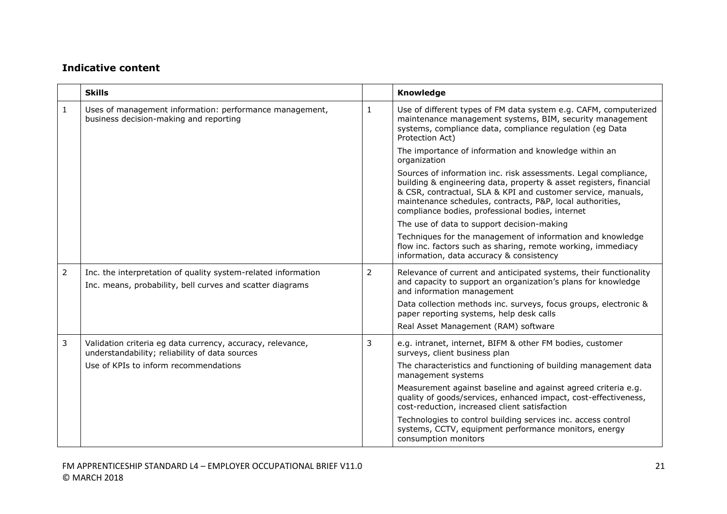|                | <b>Skills</b>                                                                                                              |   | Knowledge                                                                                                                                                                                                                                                                                                              |
|----------------|----------------------------------------------------------------------------------------------------------------------------|---|------------------------------------------------------------------------------------------------------------------------------------------------------------------------------------------------------------------------------------------------------------------------------------------------------------------------|
| $\mathbf{1}$   | Uses of management information: performance management,<br>business decision-making and reporting                          | 1 | Use of different types of FM data system e.g. CAFM, computerized<br>maintenance management systems, BIM, security management<br>systems, compliance data, compliance regulation (eg Data<br>Protection Act)                                                                                                            |
|                |                                                                                                                            |   | The importance of information and knowledge within an<br>organization                                                                                                                                                                                                                                                  |
|                |                                                                                                                            |   | Sources of information inc. risk assessments. Legal compliance,<br>building & engineering data, property & asset registers, financial<br>& CSR, contractual, SLA & KPI and customer service, manuals,<br>maintenance schedules, contracts, P&P, local authorities,<br>compliance bodies, professional bodies, internet |
|                |                                                                                                                            |   | The use of data to support decision-making                                                                                                                                                                                                                                                                             |
|                |                                                                                                                            |   | Techniques for the management of information and knowledge<br>flow inc. factors such as sharing, remote working, immediacy<br>information, data accuracy & consistency                                                                                                                                                 |
| $\overline{2}$ | Inc. the interpretation of quality system-related information<br>Inc. means, probability, bell curves and scatter diagrams | 2 | Relevance of current and anticipated systems, their functionality<br>and capacity to support an organization's plans for knowledge<br>and information management                                                                                                                                                       |
|                |                                                                                                                            |   | Data collection methods inc. surveys, focus groups, electronic &<br>paper reporting systems, help desk calls                                                                                                                                                                                                           |
|                |                                                                                                                            |   | Real Asset Management (RAM) software                                                                                                                                                                                                                                                                                   |
| 3              | Validation criteria eg data currency, accuracy, relevance,<br>understandability; reliability of data sources               | 3 | e.g. intranet, internet, BIFM & other FM bodies, customer<br>surveys, client business plan                                                                                                                                                                                                                             |
|                | Use of KPIs to inform recommendations                                                                                      |   | The characteristics and functioning of building management data<br>management systems                                                                                                                                                                                                                                  |
|                |                                                                                                                            |   | Measurement against baseline and against agreed criteria e.g.<br>quality of goods/services, enhanced impact, cost-effectiveness,<br>cost-reduction, increased client satisfaction                                                                                                                                      |
|                |                                                                                                                            |   | Technologies to control building services inc. access control<br>systems, CCTV, equipment performance monitors, energy<br>consumption monitors                                                                                                                                                                         |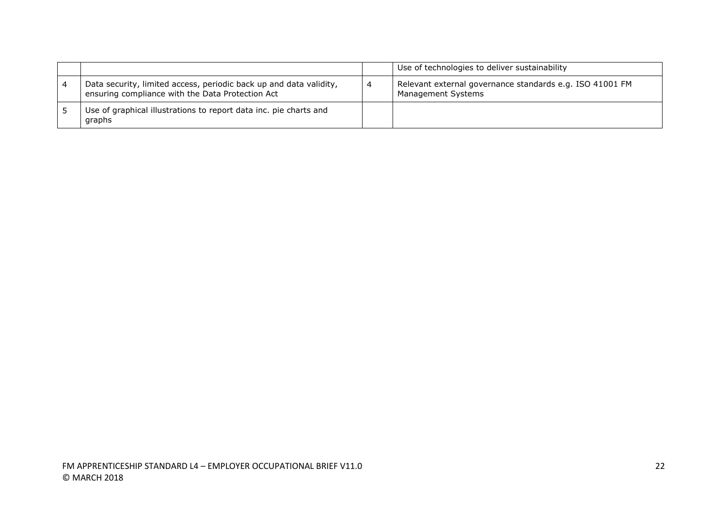|                                                                                                                        | Use of technologies to deliver sustainability                                  |
|------------------------------------------------------------------------------------------------------------------------|--------------------------------------------------------------------------------|
| Data security, limited access, periodic back up and data validity,<br>ensuring compliance with the Data Protection Act | Relevant external governance standards e.g. ISO 41001 FM<br>Management Systems |
| Use of graphical illustrations to report data inc. pie charts and<br>graphs                                            |                                                                                |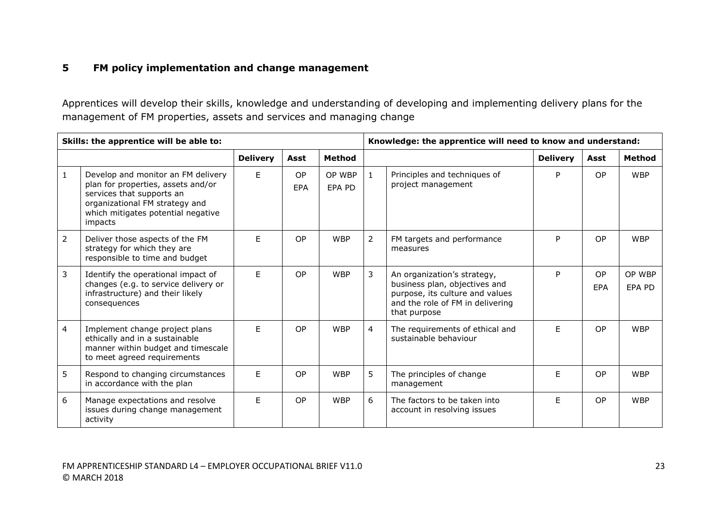### **5 FM policy implementation and change management**

Apprentices will develop their skills, knowledge and understanding of developing and implementing delivery plans for the management of FM properties, assets and services and managing change

| Skills: the apprentice will be able to: |                                                                                                                                                                                          |                 |                  |                  | Knowledge: the apprentice will need to know and understand: |                                                                                                                                                     |                 |           |                  |
|-----------------------------------------|------------------------------------------------------------------------------------------------------------------------------------------------------------------------------------------|-----------------|------------------|------------------|-------------------------------------------------------------|-----------------------------------------------------------------------------------------------------------------------------------------------------|-----------------|-----------|------------------|
|                                         |                                                                                                                                                                                          | <b>Delivery</b> | Asst             | <b>Method</b>    |                                                             |                                                                                                                                                     | <b>Delivery</b> | Asst      | <b>Method</b>    |
| $\mathbf{1}$                            | Develop and monitor an FM delivery<br>plan for properties, assets and/or<br>services that supports an<br>organizational FM strategy and<br>which mitigates potential negative<br>impacts | F.              | <b>OP</b><br>EPA | OP WBP<br>EPA PD | $\mathbf{1}$                                                | Principles and techniques of<br>project management                                                                                                  | P               | OP.       | <b>WBP</b>       |
| $\overline{2}$                          | Deliver those aspects of the FM<br>strategy for which they are<br>responsible to time and budget                                                                                         | F.              | <b>OP</b>        | <b>WBP</b>       | $\overline{2}$                                              | FM targets and performance<br>measures                                                                                                              | P               | OP        | <b>WBP</b>       |
| 3                                       | Identify the operational impact of<br>changes (e.g. to service delivery or<br>infrastructure) and their likely<br>consequences                                                           | E               | OP               | <b>WBP</b>       | 3                                                           | An organization's strategy,<br>business plan, objectives and<br>purpose, its culture and values<br>and the role of FM in delivering<br>that purpose | P               | OP<br>EPA | OP WBP<br>EPA PD |
| 4                                       | Implement change project plans<br>ethically and in a sustainable<br>manner within budget and timescale<br>to meet agreed requirements                                                    | E               | <b>OP</b>        | <b>WBP</b>       | $\overline{4}$                                              | The requirements of ethical and<br>sustainable behaviour                                                                                            | F               | OP        | <b>WBP</b>       |
| 5                                       | Respond to changing circumstances<br>in accordance with the plan                                                                                                                         | E               | OP               | <b>WBP</b>       | 5                                                           | The principles of change<br>management                                                                                                              | F               | OP        | <b>WBP</b>       |
| 6                                       | Manage expectations and resolve<br>issues during change management<br>activity                                                                                                           | F.              | OP               | <b>WBP</b>       | 6                                                           | The factors to be taken into<br>account in resolving issues                                                                                         | F               | <b>OP</b> | <b>WBP</b>       |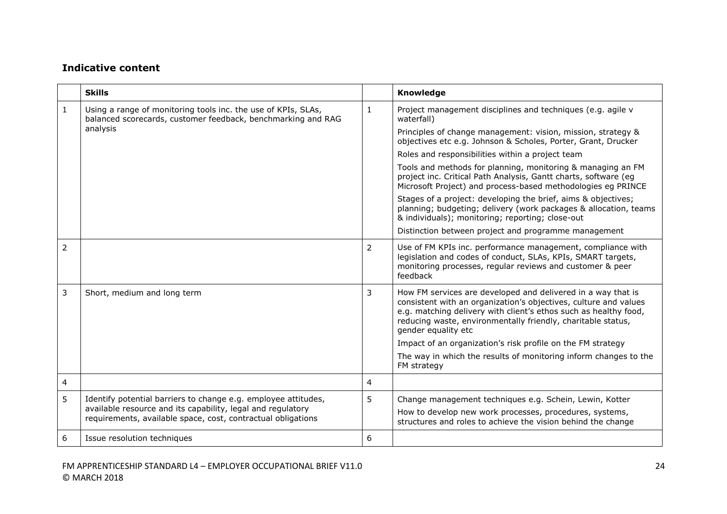|                | <b>Skills</b>                                                                                                                 |                | <b>Knowledge</b>                                                                                                                                                                                                                                                                            |
|----------------|-------------------------------------------------------------------------------------------------------------------------------|----------------|---------------------------------------------------------------------------------------------------------------------------------------------------------------------------------------------------------------------------------------------------------------------------------------------|
| $\mathbf{1}$   | Using a range of monitoring tools inc. the use of KPIs, SLAs,<br>balanced scorecards, customer feedback, benchmarking and RAG | $\mathbf{1}$   | Project management disciplines and techniques (e.g. agile v<br>waterfall)                                                                                                                                                                                                                   |
|                | analysis                                                                                                                      |                | Principles of change management: vision, mission, strategy &<br>objectives etc e.g. Johnson & Scholes, Porter, Grant, Drucker                                                                                                                                                               |
|                |                                                                                                                               |                | Roles and responsibilities within a project team                                                                                                                                                                                                                                            |
|                |                                                                                                                               |                | Tools and methods for planning, monitoring & managing an FM<br>project inc. Critical Path Analysis, Gantt charts, software (eg<br>Microsoft Project) and process-based methodologies eg PRINCE                                                                                              |
|                |                                                                                                                               |                | Stages of a project: developing the brief, aims & objectives;<br>planning; budgeting; delivery (work packages & allocation, teams<br>& individuals); monitoring; reporting; close-out                                                                                                       |
|                |                                                                                                                               |                | Distinction between project and programme management                                                                                                                                                                                                                                        |
| 2              |                                                                                                                               | 2              | Use of FM KPIs inc. performance management, compliance with<br>legislation and codes of conduct, SLAs, KPIs, SMART targets,<br>monitoring processes, regular reviews and customer & peer<br>feedback                                                                                        |
| 3              | Short, medium and long term                                                                                                   | 3              | How FM services are developed and delivered in a way that is<br>consistent with an organization's objectives, culture and values<br>e.g. matching delivery with client's ethos such as healthy food,<br>reducing waste, environmentally friendly, charitable status,<br>gender equality etc |
|                |                                                                                                                               |                | Impact of an organization's risk profile on the FM strategy                                                                                                                                                                                                                                 |
|                |                                                                                                                               |                | The way in which the results of monitoring inform changes to the<br>FM strategy                                                                                                                                                                                                             |
| $\overline{4}$ |                                                                                                                               | $\overline{4}$ |                                                                                                                                                                                                                                                                                             |
| 5              | Identify potential barriers to change e.g. employee attitudes,<br>available resource and its capability, legal and regulatory | 5              | Change management techniques e.g. Schein, Lewin, Kotter                                                                                                                                                                                                                                     |
|                | requirements, available space, cost, contractual obligations                                                                  |                | How to develop new work processes, procedures, systems,<br>structures and roles to achieve the vision behind the change                                                                                                                                                                     |
| 6              | Issue resolution techniques                                                                                                   | 6              |                                                                                                                                                                                                                                                                                             |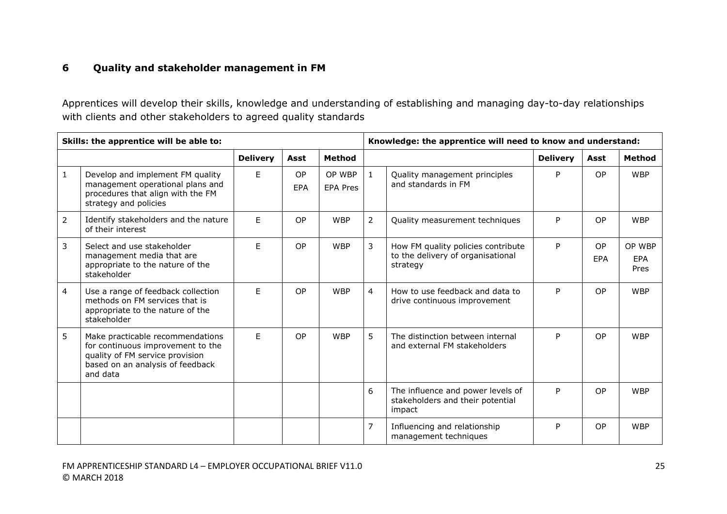### **6 Quality and stakeholder management in FM**

Apprentices will develop their skills, knowledge and understanding of establishing and managing day-to-day relationships with clients and other stakeholders to agreed quality standards

| Skills: the apprentice will be able to: |                                                                                                                                                          |                 |                  |                           | Knowledge: the apprentice will need to know and understand: |                                                                                     |                 |                  |                              |
|-----------------------------------------|----------------------------------------------------------------------------------------------------------------------------------------------------------|-----------------|------------------|---------------------------|-------------------------------------------------------------|-------------------------------------------------------------------------------------|-----------------|------------------|------------------------------|
|                                         |                                                                                                                                                          | <b>Delivery</b> | Asst             | <b>Method</b>             |                                                             |                                                                                     | <b>Delivery</b> | Asst             | <b>Method</b>                |
| $\mathbf{1}$                            | Develop and implement FM quality<br>management operational plans and<br>procedures that align with the FM<br>strategy and policies                       | E.              | <b>OP</b><br>EPA | OP WBP<br><b>EPA Pres</b> | $\mathbf{1}$                                                | Quality management principles<br>and standards in FM                                | P               | <b>OP</b>        | <b>WBP</b>                   |
| $\overline{2}$                          | Identify stakeholders and the nature<br>of their interest                                                                                                | E               | <b>OP</b>        | <b>WBP</b>                | $\overline{2}$                                              | Quality measurement techniques                                                      | P               | <b>OP</b>        | <b>WBP</b>                   |
| 3                                       | Select and use stakeholder<br>management media that are<br>appropriate to the nature of the<br>stakeholder                                               | E               | OP               | <b>WBP</b>                | $\mathbf{3}$                                                | How FM quality policies contribute<br>to the delivery of organisational<br>strategy | P               | <b>OP</b><br>EPA | OP WBP<br><b>EPA</b><br>Pres |
| $\overline{4}$                          | Use a range of feedback collection<br>methods on FM services that is<br>appropriate to the nature of the<br>stakeholder                                  | E.              | <b>OP</b>        | <b>WBP</b>                | $\overline{4}$                                              | How to use feedback and data to<br>drive continuous improvement                     | P               | <b>OP</b>        | <b>WBP</b>                   |
| 5                                       | Make practicable recommendations<br>for continuous improvement to the<br>quality of FM service provision<br>based on an analysis of feedback<br>and data | E.              | <b>OP</b>        | <b>WBP</b>                | 5                                                           | The distinction between internal<br>and external FM stakeholders                    | P               | <b>OP</b>        | <b>WBP</b>                   |
|                                         |                                                                                                                                                          |                 |                  |                           | 6                                                           | The influence and power levels of<br>stakeholders and their potential<br>impact     | P               | <b>OP</b>        | <b>WBP</b>                   |
|                                         |                                                                                                                                                          |                 |                  |                           | $\overline{7}$                                              | Influencing and relationship<br>management techniques                               | P               | OP               | <b>WBP</b>                   |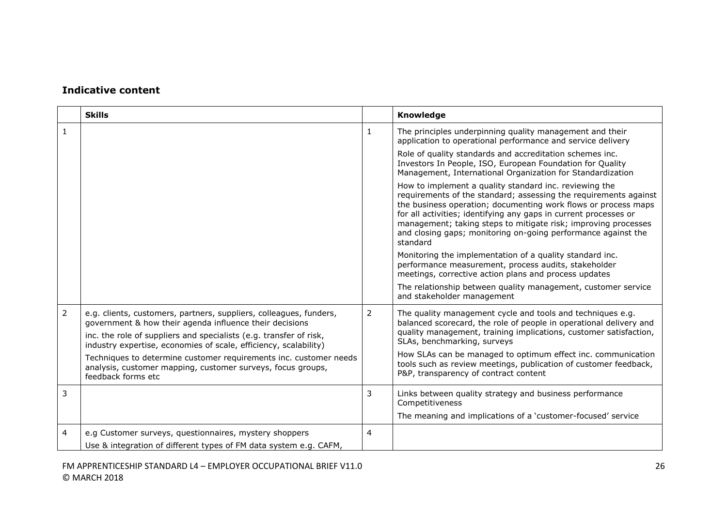|                | <b>Skills</b>                                                                                                                                                                                                                                                           |   | Knowledge                                                                                                                                                                                                                                                                                                                                                                                                       |
|----------------|-------------------------------------------------------------------------------------------------------------------------------------------------------------------------------------------------------------------------------------------------------------------------|---|-----------------------------------------------------------------------------------------------------------------------------------------------------------------------------------------------------------------------------------------------------------------------------------------------------------------------------------------------------------------------------------------------------------------|
| 1              |                                                                                                                                                                                                                                                                         | 1 | The principles underpinning quality management and their<br>application to operational performance and service delivery                                                                                                                                                                                                                                                                                         |
|                |                                                                                                                                                                                                                                                                         |   | Role of quality standards and accreditation schemes inc.<br>Investors In People, ISO, European Foundation for Quality<br>Management, International Organization for Standardization                                                                                                                                                                                                                             |
|                |                                                                                                                                                                                                                                                                         |   | How to implement a quality standard inc. reviewing the<br>requirements of the standard; assessing the requirements against<br>the business operation; documenting work flows or process maps<br>for all activities; identifying any gaps in current processes or<br>management; taking steps to mitigate risk; improving processes<br>and closing gaps; monitoring on-going performance against the<br>standard |
|                |                                                                                                                                                                                                                                                                         |   | Monitoring the implementation of a quality standard inc.<br>performance measurement, process audits, stakeholder<br>meetings, corrective action plans and process updates                                                                                                                                                                                                                                       |
|                |                                                                                                                                                                                                                                                                         |   | The relationship between quality management, customer service<br>and stakeholder management                                                                                                                                                                                                                                                                                                                     |
| $\overline{2}$ | e.g. clients, customers, partners, suppliers, colleagues, funders,<br>government & how their agenda influence their decisions<br>inc. the role of suppliers and specialists (e.g. transfer of risk,<br>industry expertise, economies of scale, efficiency, scalability) | 2 | The quality management cycle and tools and techniques e.g.<br>balanced scorecard, the role of people in operational delivery and<br>quality management, training implications, customer satisfaction,<br>SLAs, benchmarking, surveys                                                                                                                                                                            |
|                | Techniques to determine customer requirements inc. customer needs<br>analysis, customer mapping, customer surveys, focus groups,<br>feedback forms etc                                                                                                                  |   | How SLAs can be managed to optimum effect inc. communication<br>tools such as review meetings, publication of customer feedback,<br>P&P, transparency of contract content                                                                                                                                                                                                                                       |
| 3              |                                                                                                                                                                                                                                                                         | 3 | Links between quality strategy and business performance<br>Competitiveness                                                                                                                                                                                                                                                                                                                                      |
|                |                                                                                                                                                                                                                                                                         |   | The meaning and implications of a 'customer-focused' service                                                                                                                                                                                                                                                                                                                                                    |
| 4              | e.g Customer surveys, questionnaires, mystery shoppers                                                                                                                                                                                                                  | 4 |                                                                                                                                                                                                                                                                                                                                                                                                                 |
|                | Use & integration of different types of FM data system e.g. CAFM,                                                                                                                                                                                                       |   |                                                                                                                                                                                                                                                                                                                                                                                                                 |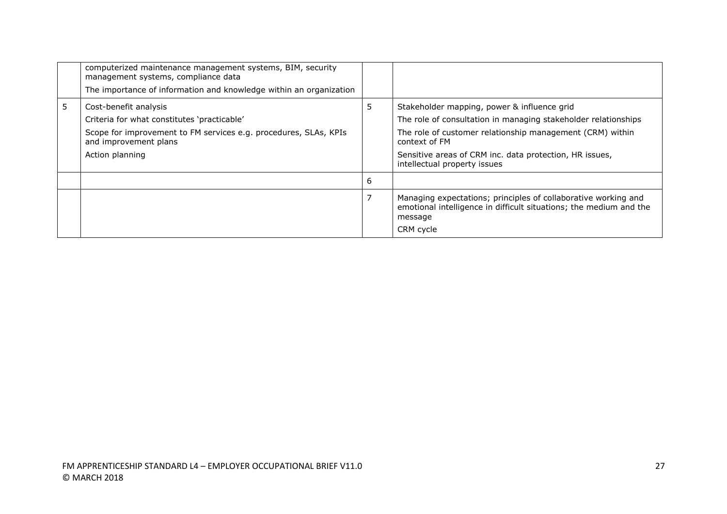|   | computerized maintenance management systems, BIM, security<br>management systems, compliance data<br>The importance of information and knowledge within an organization              |   |                                                                                                                                                                                                                                                                                        |
|---|--------------------------------------------------------------------------------------------------------------------------------------------------------------------------------------|---|----------------------------------------------------------------------------------------------------------------------------------------------------------------------------------------------------------------------------------------------------------------------------------------|
| 5 | Cost-benefit analysis<br>Criteria for what constitutes 'practicable'<br>Scope for improvement to FM services e.g. procedures, SLAs, KPIs<br>and improvement plans<br>Action planning | 5 | Stakeholder mapping, power & influence grid<br>The role of consultation in managing stakeholder relationships<br>The role of customer relationship management (CRM) within<br>context of FM<br>Sensitive areas of CRM inc. data protection, HR issues,<br>intellectual property issues |
|   |                                                                                                                                                                                      | 6 |                                                                                                                                                                                                                                                                                        |
|   |                                                                                                                                                                                      |   | Managing expectations; principles of collaborative working and<br>emotional intelligence in difficult situations; the medium and the<br>message<br>CRM cycle                                                                                                                           |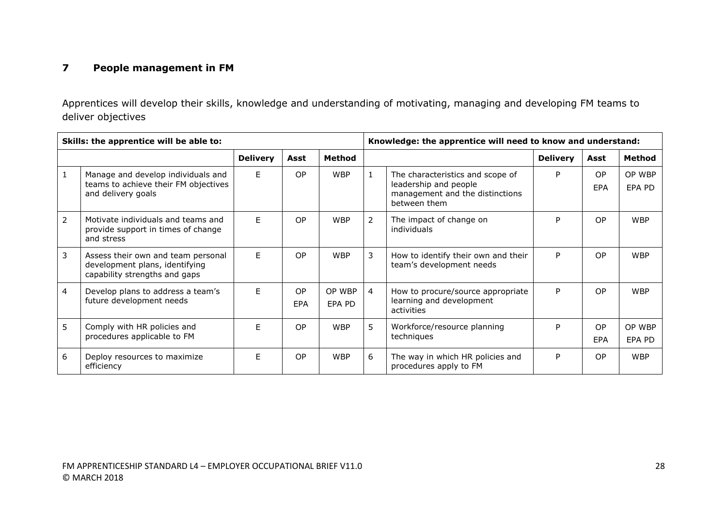### **7 People management in FM**

Apprentices will develop their skills, knowledge and understanding of motivating, managing and developing FM teams to deliver objectives

| Skills: the apprentice will be able to: |                                                                                                       |                 |                         |                  | Knowledge: the apprentice will need to know and understand: |                                                                                                              |                 |                  |                  |
|-----------------------------------------|-------------------------------------------------------------------------------------------------------|-----------------|-------------------------|------------------|-------------------------------------------------------------|--------------------------------------------------------------------------------------------------------------|-----------------|------------------|------------------|
|                                         |                                                                                                       | <b>Delivery</b> | Asst                    | <b>Method</b>    |                                                             |                                                                                                              | <b>Delivery</b> | Asst             | Method           |
| $\mathbf{1}$                            | Manage and develop individuals and<br>teams to achieve their FM objectives<br>and delivery goals      | F.              | OP                      | <b>WBP</b>       | $\mathbf{1}$                                                | The characteristics and scope of<br>leadership and people<br>management and the distinctions<br>between them | P               | <b>OP</b><br>EPA | OP WBP<br>EPA PD |
| $\overline{2}$                          | Motivate individuals and teams and<br>provide support in times of change<br>and stress                | F               | <b>OP</b>               | <b>WBP</b>       | 2                                                           | The impact of change on<br>individuals                                                                       | P               | <b>OP</b>        | <b>WBP</b>       |
| 3                                       | Assess their own and team personal<br>development plans, identifying<br>capability strengths and gaps | E               | OP                      | <b>WBP</b>       | 3                                                           | How to identify their own and their<br>team's development needs                                              | P               | <b>OP</b>        | <b>WBP</b>       |
| $\overline{4}$                          | Develop plans to address a team's<br>future development needs                                         | E               | <b>OP</b><br><b>EPA</b> | OP WBP<br>EPA PD | $\overline{4}$                                              | How to procure/source appropriate<br>learning and development<br>activities                                  | P               | <b>OP</b>        | <b>WBP</b>       |
| 5                                       | Comply with HR policies and<br>procedures applicable to FM                                            | F.              | <b>OP</b>               | <b>WBP</b>       | 5.                                                          | Workforce/resource planning<br>techniques                                                                    | P               | <b>OP</b><br>EPA | OP WBP<br>EPA PD |
| 6                                       | Deploy resources to maximize<br>efficiency                                                            | F               | <b>OP</b>               | <b>WBP</b>       | 6                                                           | The way in which HR policies and<br>procedures apply to FM                                                   | P               | <b>OP</b>        | <b>WBP</b>       |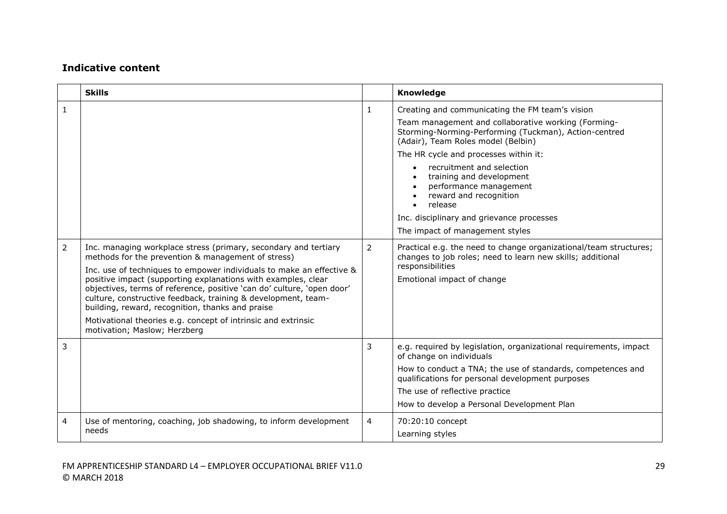|                | <b>Skills</b>                                                                                                                                                                                                                                                                                                                                                                                                                                                                                                                                                  |   | Knowledge                                                                                                                                                                                                                                                                                                                                                                                                                                                           |
|----------------|----------------------------------------------------------------------------------------------------------------------------------------------------------------------------------------------------------------------------------------------------------------------------------------------------------------------------------------------------------------------------------------------------------------------------------------------------------------------------------------------------------------------------------------------------------------|---|---------------------------------------------------------------------------------------------------------------------------------------------------------------------------------------------------------------------------------------------------------------------------------------------------------------------------------------------------------------------------------------------------------------------------------------------------------------------|
| $\mathbf{1}$   |                                                                                                                                                                                                                                                                                                                                                                                                                                                                                                                                                                | 1 | Creating and communicating the FM team's vision<br>Team management and collaborative working (Forming-<br>Storming-Norming-Performing (Tuckman), Action-centred<br>(Adair), Team Roles model (Belbin)<br>The HR cycle and processes within it:<br>recruitment and selection<br>training and development<br>performance management<br>reward and recognition<br>release<br>$\bullet$<br>Inc. disciplinary and grievance processes<br>The impact of management styles |
| $\overline{2}$ | Inc. managing workplace stress (primary, secondary and tertiary<br>methods for the prevention & management of stress)<br>Inc. use of techniques to empower individuals to make an effective &<br>positive impact (supporting explanations with examples, clear<br>objectives, terms of reference, positive 'can do' culture, 'open door'<br>culture, constructive feedback, training & development, team-<br>building, reward, recognition, thanks and praise<br>Motivational theories e.g. concept of intrinsic and extrinsic<br>motivation; Maslow; Herzberg | 2 | Practical e.g. the need to change organizational/team structures;<br>changes to job roles; need to learn new skills; additional<br>responsibilities<br>Emotional impact of change                                                                                                                                                                                                                                                                                   |
| 3              |                                                                                                                                                                                                                                                                                                                                                                                                                                                                                                                                                                | 3 | e.g. required by legislation, organizational requirements, impact<br>of change on individuals<br>How to conduct a TNA; the use of standards, competences and<br>qualifications for personal development purposes<br>The use of reflective practice<br>How to develop a Personal Development Plan                                                                                                                                                                    |
| 4              | Use of mentoring, coaching, job shadowing, to inform development<br>needs                                                                                                                                                                                                                                                                                                                                                                                                                                                                                      | 4 | 70:20:10 concept<br>Learning styles                                                                                                                                                                                                                                                                                                                                                                                                                                 |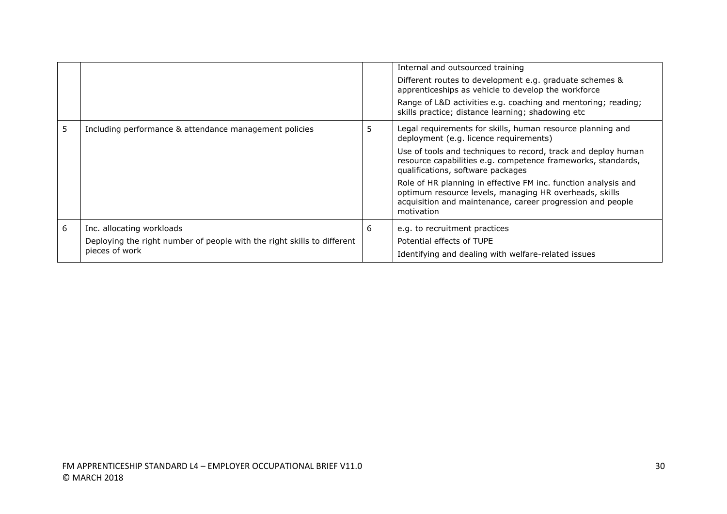|   |                                                                                                                        |   | Internal and outsourced training<br>Different routes to development e.g. graduate schemes &<br>apprenticeships as vehicle to develop the workforce<br>Range of L&D activities e.g. coaching and mentoring; reading;<br>skills practice; distance learning; shadowing etc                                                                                                                                                                                                           |
|---|------------------------------------------------------------------------------------------------------------------------|---|------------------------------------------------------------------------------------------------------------------------------------------------------------------------------------------------------------------------------------------------------------------------------------------------------------------------------------------------------------------------------------------------------------------------------------------------------------------------------------|
| 5 | Including performance & attendance management policies                                                                 | 5 | Legal requirements for skills, human resource planning and<br>deployment (e.g. licence requirements)<br>Use of tools and techniques to record, track and deploy human<br>resource capabilities e.g. competence frameworks, standards,<br>qualifications, software packages<br>Role of HR planning in effective FM inc. function analysis and<br>optimum resource levels, managing HR overheads, skills<br>acquisition and maintenance, career progression and people<br>motivation |
| 6 | Inc. allocating workloads<br>Deploying the right number of people with the right skills to different<br>pieces of work | 6 | e.g. to recruitment practices<br>Potential effects of TUPE<br>Identifying and dealing with welfare-related issues                                                                                                                                                                                                                                                                                                                                                                  |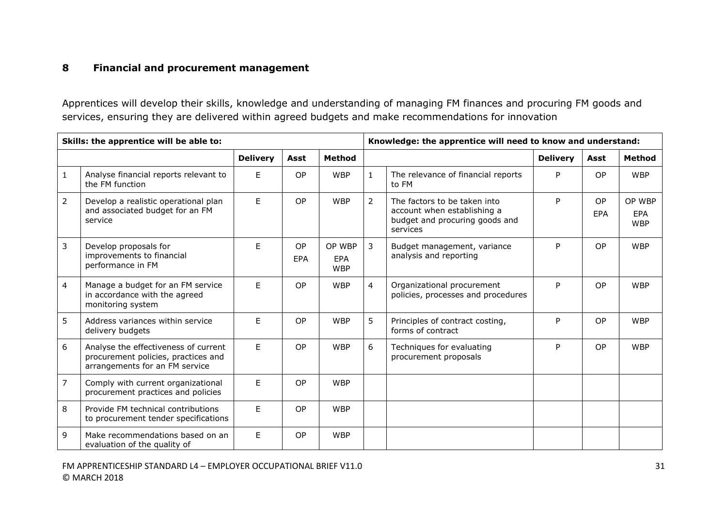### **8 Financial and procurement management**

Apprentices will develop their skills, knowledge and understanding of managing FM finances and procuring FM goods and services, ensuring they are delivered within agreed budgets and make recommendations for innovation

| Skills: the apprentice will be able to: |                                                                                                               |                 |                  |                                    | Knowledge: the apprentice will need to know and understand: |                                                                                                           |                 |                         |                                    |
|-----------------------------------------|---------------------------------------------------------------------------------------------------------------|-----------------|------------------|------------------------------------|-------------------------------------------------------------|-----------------------------------------------------------------------------------------------------------|-----------------|-------------------------|------------------------------------|
|                                         |                                                                                                               | <b>Delivery</b> | Asst             | <b>Method</b>                      |                                                             |                                                                                                           | <b>Delivery</b> | Asst                    | Method                             |
| $\mathbf 1$                             | Analyse financial reports relevant to<br>the FM function                                                      | E               | <b>OP</b>        | <b>WBP</b>                         | $\mathbf{1}$                                                | The relevance of financial reports<br>to FM                                                               | P               | <b>OP</b>               | <b>WBP</b>                         |
| $\overline{2}$                          | Develop a realistic operational plan<br>and associated budget for an FM<br>service                            | E               | <b>OP</b>        | <b>WBP</b>                         | $\overline{2}$                                              | The factors to be taken into<br>account when establishing a<br>budget and procuring goods and<br>services | P               | <b>OP</b><br><b>EPA</b> | OP WBP<br><b>EPA</b><br><b>WBP</b> |
| 3                                       | Develop proposals for<br>improvements to financial<br>performance in FM                                       | E               | <b>OP</b><br>EPA | OP WBP<br><b>EPA</b><br><b>WBP</b> | $\mathbf{3}$                                                | Budget management, variance<br>analysis and reporting                                                     | P               | <b>OP</b>               | <b>WBP</b>                         |
| $\overline{4}$                          | Manage a budget for an FM service<br>in accordance with the agreed<br>monitoring system                       | E               | <b>OP</b>        | <b>WBP</b>                         | $\overline{4}$                                              | Organizational procurement<br>policies, processes and procedures                                          | P               | <b>OP</b>               | <b>WBP</b>                         |
| 5                                       | Address variances within service<br>delivery budgets                                                          | E               | <b>OP</b>        | <b>WBP</b>                         | 5                                                           | Principles of contract costing,<br>forms of contract                                                      | P               | <b>OP</b>               | <b>WBP</b>                         |
| 6                                       | Analyse the effectiveness of current<br>procurement policies, practices and<br>arrangements for an FM service | E               | <b>OP</b>        | <b>WBP</b>                         | 6                                                           | Techniques for evaluating<br>procurement proposals                                                        | P               | <b>OP</b>               | <b>WBP</b>                         |
| $\overline{7}$                          | Comply with current organizational<br>procurement practices and policies                                      | E               | <b>OP</b>        | <b>WBP</b>                         |                                                             |                                                                                                           |                 |                         |                                    |
| 8                                       | Provide FM technical contributions<br>to procurement tender specifications                                    | E               | OP               | <b>WBP</b>                         |                                                             |                                                                                                           |                 |                         |                                    |
| 9                                       | Make recommendations based on an<br>evaluation of the quality of                                              | E               | <b>OP</b>        | <b>WBP</b>                         |                                                             |                                                                                                           |                 |                         |                                    |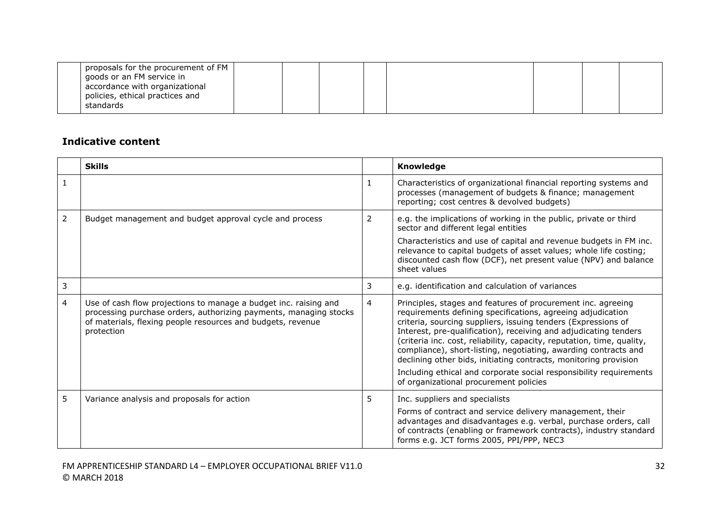| proposals for the procurement of FM |  |  |  |  |
|-------------------------------------|--|--|--|--|
| goods or an FM service in           |  |  |  |  |
| accordance with organizational      |  |  |  |  |
| policies, ethical practices and     |  |  |  |  |
| standards                           |  |  |  |  |

|   | <b>Skills</b>                                                                                                                                                                                                      |    | <b>Knowledge</b>                                                                                                                                                                                                                                                                                                                                                                                                                                                                                                                                                                                  |
|---|--------------------------------------------------------------------------------------------------------------------------------------------------------------------------------------------------------------------|----|---------------------------------------------------------------------------------------------------------------------------------------------------------------------------------------------------------------------------------------------------------------------------------------------------------------------------------------------------------------------------------------------------------------------------------------------------------------------------------------------------------------------------------------------------------------------------------------------------|
|   |                                                                                                                                                                                                                    | 1  | Characteristics of organizational financial reporting systems and<br>processes (management of budgets & finance; management<br>reporting; cost centres & devolved budgets)                                                                                                                                                                                                                                                                                                                                                                                                                        |
| 2 | Budget management and budget approval cycle and process                                                                                                                                                            | 2  | e.g. the implications of working in the public, private or third<br>sector and different legal entities<br>Characteristics and use of capital and revenue budgets in FM inc.<br>relevance to capital budgets of asset values; whole life costing;<br>discounted cash flow (DCF), net present value (NPV) and balance<br>sheet values                                                                                                                                                                                                                                                              |
| 3 |                                                                                                                                                                                                                    | 3  | e.g. identification and calculation of variances                                                                                                                                                                                                                                                                                                                                                                                                                                                                                                                                                  |
| 4 | Use of cash flow projections to manage a budget inc. raising and<br>processing purchase orders, authorizing payments, managing stocks<br>of materials, flexing people resources and budgets, revenue<br>protection | 4  | Principles, stages and features of procurement inc. agreeing<br>requirements defining specifications, agreeing adjudication<br>criteria, sourcing suppliers, issuing tenders (Expressions of<br>Interest, pre-qualification), receiving and adjudicating tenders<br>(criteria inc. cost, reliability, capacity, reputation, time, quality,<br>compliance), short-listing, negotiating, awarding contracts and<br>declining other bids, initiating contracts, monitoring provision<br>Including ethical and corporate social responsibility requirements<br>of organizational procurement policies |
| 5 | Variance analysis and proposals for action                                                                                                                                                                         | 5. | Inc. suppliers and specialists<br>Forms of contract and service delivery management, their<br>advantages and disadvantages e.g. verbal, purchase orders, call<br>of contracts (enabling or framework contracts), industry standard<br>forms e.g. JCT forms 2005, PPI/PPP, NEC3                                                                                                                                                                                                                                                                                                                    |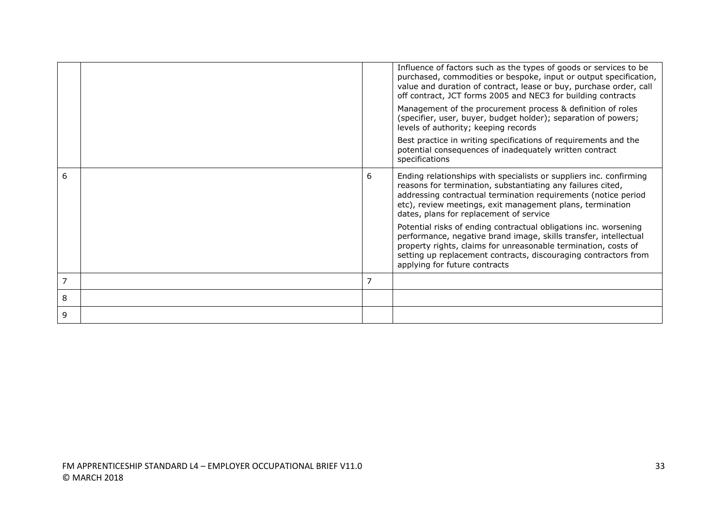|   |                | Influence of factors such as the types of goods or services to be<br>purchased, commodities or bespoke, input or output specification,<br>value and duration of contract, lease or buy, purchase order, call<br>off contract, JCT forms 2005 and NEC3 for building contracts                                |
|---|----------------|-------------------------------------------------------------------------------------------------------------------------------------------------------------------------------------------------------------------------------------------------------------------------------------------------------------|
|   |                | Management of the procurement process & definition of roles<br>(specifier, user, buyer, budget holder); separation of powers;<br>levels of authority; keeping records                                                                                                                                       |
|   |                | Best practice in writing specifications of requirements and the<br>potential consequences of inadequately written contract<br>specifications                                                                                                                                                                |
| 6 | 6              | Ending relationships with specialists or suppliers inc. confirming<br>reasons for termination, substantiating any failures cited,<br>addressing contractual termination requirements (notice period<br>etc), review meetings, exit management plans, termination<br>dates, plans for replacement of service |
|   |                | Potential risks of ending contractual obligations inc. worsening<br>performance, negative brand image, skills transfer, intellectual<br>property rights, claims for unreasonable termination, costs of<br>setting up replacement contracts, discouraging contractors from<br>applying for future contracts  |
| 7 | $\overline{7}$ |                                                                                                                                                                                                                                                                                                             |
| 8 |                |                                                                                                                                                                                                                                                                                                             |
| 9 |                |                                                                                                                                                                                                                                                                                                             |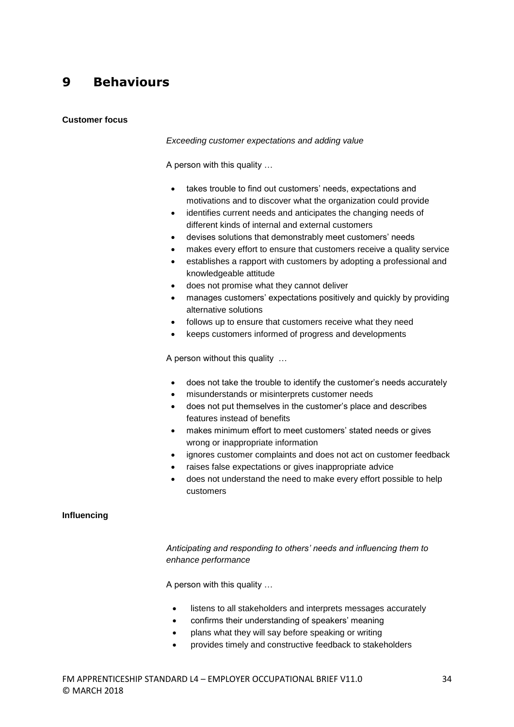### **9 Behaviours**

#### **Customer focus**

#### *Exceeding customer expectations and adding value*

A person with this quality …

- takes trouble to find out customers' needs, expectations and motivations and to discover what the organization could provide
- identifies current needs and anticipates the changing needs of different kinds of internal and external customers
- devises solutions that demonstrably meet customers' needs
- makes every effort to ensure that customers receive a quality service
- establishes a rapport with customers by adopting a professional and knowledgeable attitude
- does not promise what they cannot deliver
- manages customers' expectations positively and quickly by providing alternative solutions
- follows up to ensure that customers receive what they need
- keeps customers informed of progress and developments

A person without this quality …

- does not take the trouble to identify the customer's needs accurately
- misunderstands or misinterprets customer needs
- does not put themselves in the customer's place and describes features instead of benefits
- makes minimum effort to meet customers' stated needs or gives wrong or inappropriate information
- ignores customer complaints and does not act on customer feedback
- raises false expectations or gives inappropriate advice
- does not understand the need to make every effort possible to help customers

#### **Influencing**

*Anticipating and responding to others' needs and influencing them to enhance performance*

A person with this quality …

- listens to all stakeholders and interprets messages accurately
- confirms their understanding of speakers' meaning
- plans what they will say before speaking or writing
- provides timely and constructive feedback to stakeholders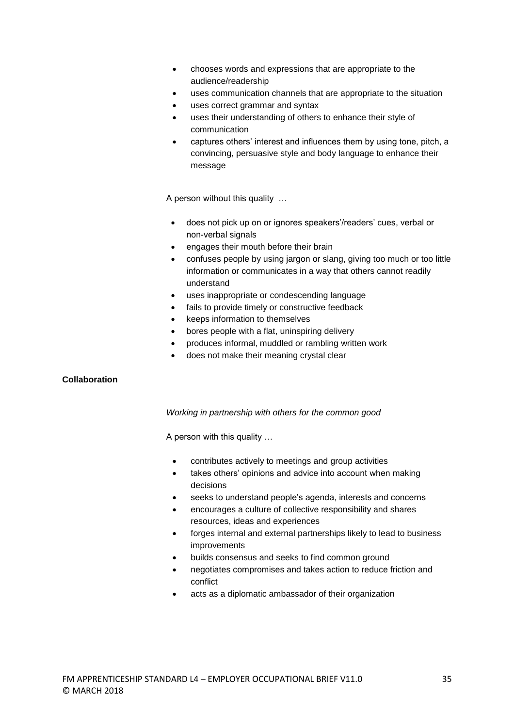- chooses words and expressions that are appropriate to the audience/readership
- uses communication channels that are appropriate to the situation
- uses correct grammar and syntax
- uses their understanding of others to enhance their style of communication
- captures others' interest and influences them by using tone, pitch, a convincing, persuasive style and body language to enhance their message

A person without this quality …

- does not pick up on or ignores speakers'/readers' cues, verbal or non-verbal signals
- engages their mouth before their brain
- confuses people by using jargon or slang, giving too much or too little information or communicates in a way that others cannot readily understand
- uses inappropriate or condescending language
- fails to provide timely or constructive feedback
- keeps information to themselves
- bores people with a flat, uninspiring delivery
- produces informal, muddled or rambling written work
- does not make their meaning crystal clear

#### **Collaboration**

#### *Working in partnership with others for the common good*

A person with this quality …

- contributes actively to meetings and group activities
- takes others' opinions and advice into account when making decisions
- seeks to understand people's agenda, interests and concerns
- encourages a culture of collective responsibility and shares resources, ideas and experiences
- forges internal and external partnerships likely to lead to business improvements
- builds consensus and seeks to find common ground
- negotiates compromises and takes action to reduce friction and conflict
- acts as a diplomatic ambassador of their organization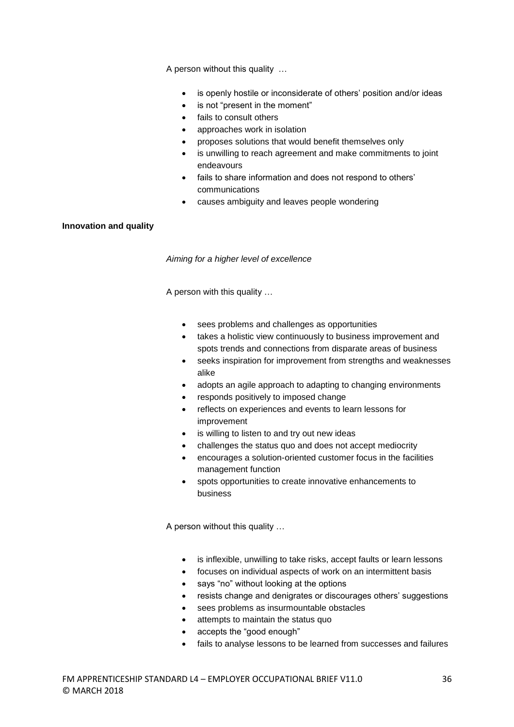A person without this quality …

- is openly hostile or inconsiderate of others' position and/or ideas
- is not "present in the moment"
- fails to consult others
- approaches work in isolation
- proposes solutions that would benefit themselves only
- is unwilling to reach agreement and make commitments to joint endeavours
- fails to share information and does not respond to others' communications
- causes ambiguity and leaves people wondering

#### **Innovation and quality**

*Aiming for a higher level of excellence*

A person with this quality …

- sees problems and challenges as opportunities
- takes a holistic view continuously to business improvement and spots trends and connections from disparate areas of business
- seeks inspiration for improvement from strengths and weaknesses alike
- adopts an agile approach to adapting to changing environments
- responds positively to imposed change
- reflects on experiences and events to learn lessons for improvement
- is willing to listen to and try out new ideas
- challenges the status quo and does not accept mediocrity
- encourages a solution-oriented customer focus in the facilities management function
- spots opportunities to create innovative enhancements to business

A person without this quality …

- is inflexible, unwilling to take risks, accept faults or learn lessons
- focuses on individual aspects of work on an intermittent basis
- says "no" without looking at the options
- resists change and denigrates or discourages others' suggestions
- sees problems as insurmountable obstacles
- attempts to maintain the status quo
- accepts the "good enough"
- fails to analyse lessons to be learned from successes and failures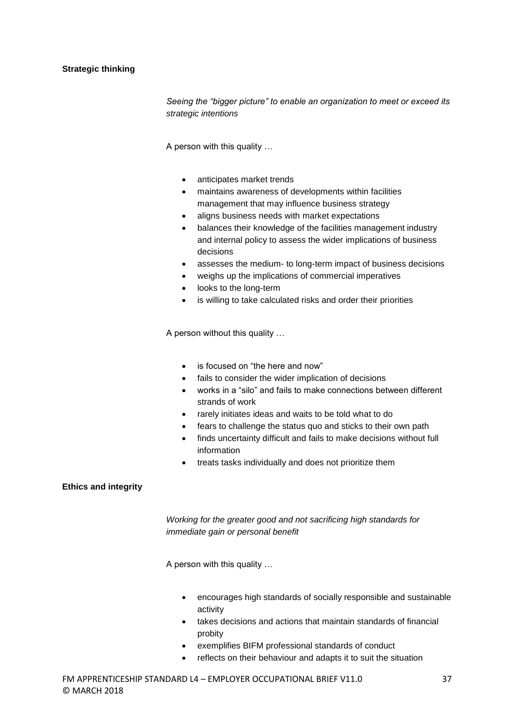#### **Strategic thinking**

*Seeing the "bigger picture" to enable an organization to meet or exceed its strategic intentions*

A person with this quality …

- anticipates market trends
- maintains awareness of developments within facilities management that may influence business strategy
- aligns business needs with market expectations
- balances their knowledge of the facilities management industry and internal policy to assess the wider implications of business decisions
- assesses the medium- to long-term impact of business decisions
- weighs up the implications of commercial imperatives
- looks to the long-term
- is willing to take calculated risks and order their priorities

A person without this quality …

- is focused on "the here and now"
- fails to consider the wider implication of decisions
- works in a "silo" and fails to make connections between different strands of work
- rarely initiates ideas and waits to be told what to do
- fears to challenge the status quo and sticks to their own path
- finds uncertainty difficult and fails to make decisions without full information
- treats tasks individually and does not prioritize them

#### **Ethics and integrity**

*Working for the greater good and not sacrificing high standards for immediate gain or personal benefit*

A person with this quality …

- encourages high standards of socially responsible and sustainable activity
- takes decisions and actions that maintain standards of financial probity
- exemplifies BIFM professional standards of conduct
- reflects on their behaviour and adapts it to suit the situation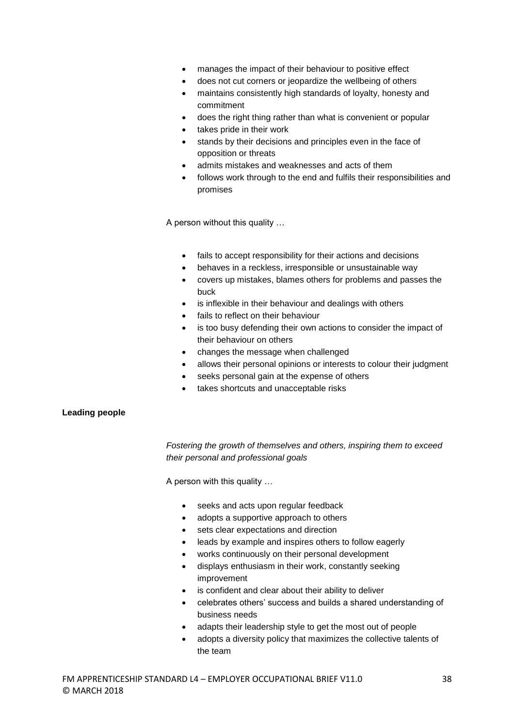- manages the impact of their behaviour to positive effect
- does not cut corners or jeopardize the wellbeing of others
- maintains consistently high standards of loyalty, honesty and commitment
- does the right thing rather than what is convenient or popular
- takes pride in their work
- stands by their decisions and principles even in the face of opposition or threats
- admits mistakes and weaknesses and acts of them
- follows work through to the end and fulfils their responsibilities and promises

A person without this quality …

- fails to accept responsibility for their actions and decisions
- behaves in a reckless, irresponsible or unsustainable way
- covers up mistakes, blames others for problems and passes the buck
- is inflexible in their behaviour and dealings with others
- fails to reflect on their behaviour
- is too busy defending their own actions to consider the impact of their behaviour on others
- changes the message when challenged
- allows their personal opinions or interests to colour their judgment
- seeks personal gain at the expense of others
- takes shortcuts and unacceptable risks

#### **Leading people**

*Fostering the growth of themselves and others, inspiring them to exceed their personal and professional goals*

A person with this quality …

- seeks and acts upon regular feedback
- adopts a supportive approach to others
- sets clear expectations and direction
- leads by example and inspires others to follow eagerly
- works continuously on their personal development
- displays enthusiasm in their work, constantly seeking improvement
- is confident and clear about their ability to deliver
- celebrates others' success and builds a shared understanding of business needs
- adapts their leadership style to get the most out of people
- adopts a diversity policy that maximizes the collective talents of the team